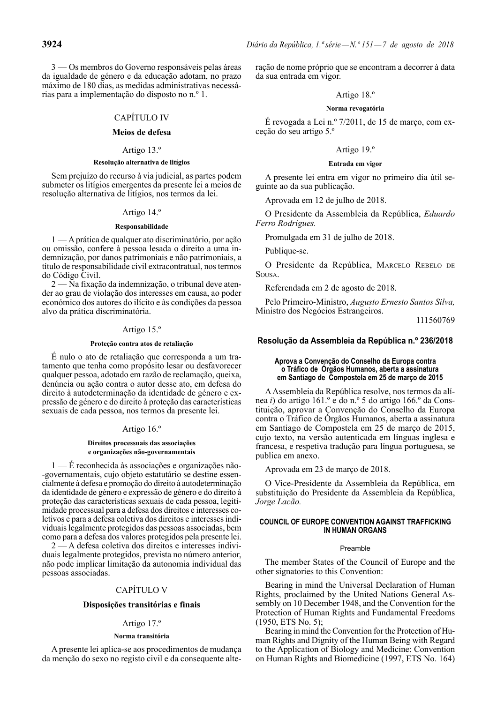3 — Os membros do Governo responsáveis pelas áreas da igualdade de género e da educação adotam, no prazo máximo de 180 dias, as medidas administrativas necessárias para a implementação do disposto no n.º 1.

# CAPÍTULO IV

# **Meios de defesa**

# Artigo 13.º

# **Resolução alternativa de litígios**

Sem prejuízo do recurso à via judicial, as partes podem submeter os litígios emergentes da presente lei a meios de resolução alternativa de litígios, nos termos da lei.

# Artigo 14.º

### **Responsabilidade**

1 — A prática de qualquer ato discriminatório, por ação ou omissão, confere à pessoa lesada o direito a uma indemnização, por danos patrimoniais e não patrimoniais, a título de responsabilidade civil extracontratual, nos termos do Código Civil.

2 — Na fixação da indemnização, o tribunal deve atender ao grau de violação dos interesses em causa, ao poder económico dos autores do ilícito e às condições da pessoa alvo da prática discriminatória.

# Artigo 15.º

### **Proteção contra atos de retaliação**

É nulo o ato de retaliação que corresponda a um tratamento que tenha como propósito lesar ou desfavorecer qualquer pessoa, adotado em razão de reclamação, queixa, denúncia ou ação contra o autor desse ato, em defesa do direito à autodeterminação da identidade de género e expressão de género e do direito à proteção das características sexuais de cada pessoa, nos termos da presente lei.

# Artigo 16.º

# **Direitos processuais das associações e organizações não -governamentais**

1 — É reconhecida às associações e organizações não- -governamentais, cujo objeto estatutário se destine essencialmente à defesa e promoção do direito à autodeterminação da identidade de género e expressão de género e do direito à proteção das características sexuais de cada pessoa, legitimidade processual para a defesa dos direitos e interesses coletivos e para a defesa coletiva dos direitos e interesses individuais legalmente protegidos das pessoas associadas, bem como para a defesa dos valores protegidos pela presente lei.

2 — A defesa coletiva dos direitos e interesses individuais legalmente protegidos, prevista no número anterior, não pode implicar limitação da autonomia individual das pessoas associadas.

# CAPÍTULO V

## **Disposições transitórias e finais**

# Artigo 17.º

# **Norma transitória**

A presente lei aplica -se aos procedimentos de mudança da menção do sexo no registo civil e da consequente alteração de nome próprio que se encontram a decorrer à data da sua entrada em vigor.

# Artigo 18.º

# **Norma revogatória**

É revogada a Lei n.º 7/2011, de 15 de março, com exceção do seu artigo 5.º

## Artigo 19.º

# **Entrada em vigor**

A presente lei entra em vigor no primeiro dia útil seguinte ao da sua publicação.

Aprovada em 12 de julho de 2018.

O Presidente da Assembleia da República, *Eduardo Ferro Rodrigues.*

Promulgada em 31 de julho de 2018.

Publique-se.

O Presidente da República, MARCELO REBELO DE SOUSA.

Referendada em 2 de agosto de 2018.

Pelo Primeiro -Ministro, *Augusto Ernesto Santos Silva,*  Ministro dos Negócios Estrangeiros.

111560769

## **Resolução da Assembleia da República n.º 236/2018**

# **Aprova a Convenção do Conselho da Europa contra o Tráfico de Órgãos Humanos, aberta a assinatura em Santiago de Compostela em 25 de março de 2015**

A Assembleia da República resolve, nos termos da alínea *i*) do artigo 161.º e do n.º 5 do artigo 166.º da Constituição, aprovar a Convenção do Conselho da Europa contra o Tráfico de Órgãos Humanos, aberta a assinatura em Santiago de Compostela em 25 de março de 2015, cujo texto, na versão autenticada em línguas inglesa e francesa, e respetiva tradução para língua portuguesa, se publica em anexo.

Aprovada em 23 de março de 2018.

O Vice -Presidente da Assembleia da República, em substituição do Presidente da Assembleia da República, *Jorge Lacão.*

# **COUNCIL OF EUROPE CONVENTION AGAINST TRAFFICKING IN HUMAN ORGANS**

## Preamble

The member States of the Council of Europe and the other signatories to this Convention:

Bearing in mind the Universal Declaration of Human Rights, proclaimed by the United Nations General Assembly on 10 December 1948, and the Convention for the Protection of Human Rights and Fundamental Freedoms (1950, ETS No. 5);

Bearing in mind the Convention for the Protection of Human Rights and Dignity of the Human Being with Regard to the Application of Biology and Medicine: Convention on Human Rights and Biomedicine (1997, ETS No. 164)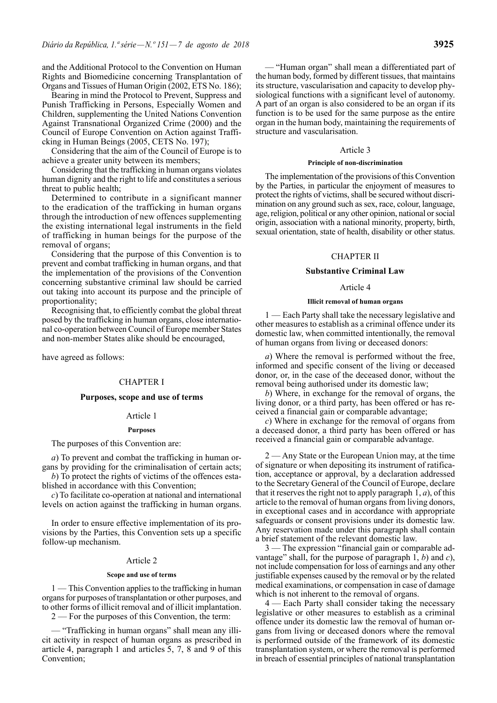and the Additional Protocol to the Convention on Human Rights and Biomedicine concerning Transplantation of Organs and Tissues of Human Origin (2002, ETS No. 186);

Bearing in mind the Protocol to Prevent, Suppress and Punish Trafficking in Persons, Especially Women and Children, supplementing the United Nations Convention Against Transnational Organized Crime (2000) and the Council of Europe Convention on Action against Trafficking in Human Beings (2005, CETS No. 197);

Considering that the aim of the Council of Europe is to achieve a greater unity between its members;

Considering that the trafficking in human organs violates human dignity and the right to life and constitutes a serious threat to public health;

Determined to contribute in a significant manner to the eradication of the trafficking in human organs through the introduction of new offences supplementing the existing international legal instruments in the field of trafficking in human beings for the purpose of the removal of organs;

Considering that the purpose of this Convention is to prevent and combat trafficking in human organs, and that the implementation of the provisions of the Convention concerning substantive criminal law should be carried out taking into account its purpose and the principle of proportionality;

Recognising that, to efficiently combat the global threat posed by the trafficking in human organs, close international co -operation between Council of Europe member States and non -member States alike should be encouraged,

have agreed as follows:

# CHAPTER I

# **Purposes, scope and use of terms**

# Article 1

### **Purposes**

The purposes of this Convention are:

*a*) To prevent and combat the trafficking in human organs by providing for the criminalisation of certain acts; *b*) To protect the rights of victims of the offences esta-

blished in accordance with this Convention;

*c*) To facilitate co-operation at national and international levels on action against the trafficking in human organs.

In order to ensure effective implementation of its provisions by the Parties, this Convention sets up a specific follow -up mechanism.

# Article 2

### **Scope and use of terms**

1 — This Convention applies to the trafficking in human organs for purposes of transplantation or other purposes, and to other forms of illicit removal and of illicit implantation.

2 — For the purposes of this Convention, the term:

— "Trafficking in human organs" shall mean any illicit activity in respect of human organs as prescribed in article 4, paragraph 1 and articles 5, 7, 8 and 9 of this Convention;

— "Human organ" shall mean a differentiated part of the human body, formed by different tissues, that maintains its structure, vascularisation and capacity to develop physiological functions with a significant level of autonomy. A part of an organ is also considered to be an organ if its function is to be used for the same purpose as the entire organ in the human body, maintaining the requirements of structure and vascularisation.

# Article 3

### **Principle of non -discrimination**

The implementation of the provisions of this Convention by the Parties, in particular the enjoyment of measures to protect the rights of victims, shall be secured without discrimination on any ground such as sex, race, colour, language, age, religion, political or any other opinion, national or social origin, association with a national minority, property, birth, sexual orientation, state of health, disability or other status.

# CHAPTER II

### **Substantive Criminal Law**

## Article 4

### **Illicit removal of human organs**

1 — Each Party shall take the necessary legislative and other measures to establish as a criminal offence under its domestic law, when committed intentionally, the removal of human organs from living or deceased donors:

*a*) Where the removal is performed without the free, informed and specific consent of the living or deceased donor, or, in the case of the deceased donor, without the removal being authorised under its domestic law;

*b*) Where, in exchange for the removal of organs, the living donor, or a third party, has been offered or has received a financial gain or comparable advantage;

*c*) Where in exchange for the removal of organs from a deceased donor, a third party has been offered or has received a financial gain or comparable advantage.

2 — Any State or the European Union may, at the time of signature or when depositing its instrument of ratification, acceptance or approval, by a declaration addressed to the Secretary General of the Council of Europe, declare that it reserves the right not to apply paragraph 1, *a*), of this article to the removal of human organs from living donors, in exceptional cases and in accordance with appropriate safeguards or consent provisions under its domestic law. Any reservation made under this paragraph shall contain a brief statement of the relevant domestic law.

3 — The expression "financial gain or comparable advantage" shall, for the purpose of paragraph 1, *b*) and *c*), not include compensation for loss of earnings and any other justifiable expenses caused by the removal or by the related medical examinations, or compensation in case of damage which is not inherent to the removal of organs.

4 — Each Party shall consider taking the necessary legislative or other measures to establish as a criminal offence under its domestic law the removal of human organs from living or deceased donors where the removal is performed outside of the framework of its domestic transplantation system, or where the removal is performed in breach of essential principles of national transplantation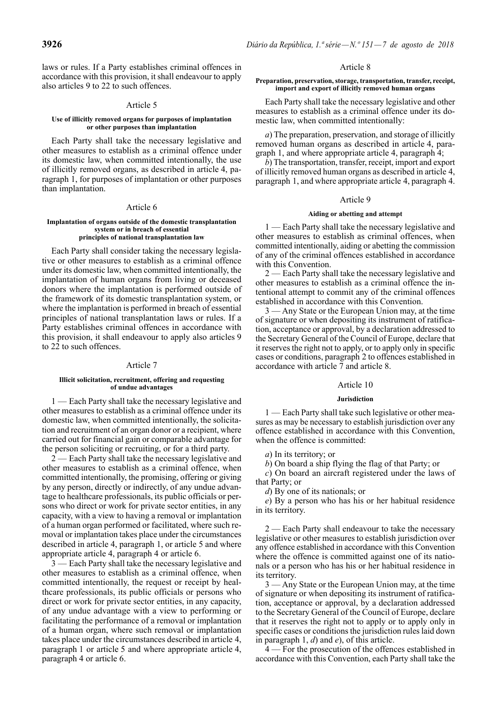laws or rules. If a Party establishes criminal offences in accordance with this provision, it shall endeavour to apply also articles 9 to 22 to such offences.

### Article 5

### **Use of illicitly removed organs for purposes of implantation or other purposes than implantation**

Each Party shall take the necessary legislative and other measures to establish as a criminal offence under its domestic law, when committed intentionally, the use of illicitly removed organs, as described in article 4, paragraph 1, for purposes of implantation or other purposes than implantation.

# Article 6

### **Implantation of organs outside of the domestic transplantation system or in breach of essential principles of national transplantation law**

Each Party shall consider taking the necessary legislative or other measures to establish as a criminal offence under its domestic law, when committed intentionally, the implantation of human organs from living or deceased donors where the implantation is performed outside of the framework of its domestic transplantation system, or where the implantation is performed in breach of essential principles of national transplantation laws or rules. If a Party establishes criminal offences in accordance with this provision, it shall endeavour to apply also articles 9 to 22 to such offences.

### Article 7

# **Illicit solicitation, recruitment, offering and requesting of undue advantages**

1 — Each Party shall take the necessary legislative and other measures to establish as a criminal offence under its domestic law, when committed intentionally, the solicitation and recruitment of an organ donor or a recipient, where carried out for financial gain or comparable advantage for the person soliciting or recruiting, or for a third party.

2 — Each Party shall take the necessary legislative and other measures to establish as a criminal offence, when committed intentionally, the promising, offering or giving by any person, directly or indirectly, of any undue advantage to healthcare professionals, its public officials or persons who direct or work for private sector entities, in any capacity, with a view to having a removal or implantation of a human organ performed or facilitated, where such removal or implantation takes place under the circumstances described in article 4, paragraph 1, or article 5 and where appropriate article 4, paragraph 4 or article 6.

3 — Each Party shall take the necessary legislative and other measures to establish as a criminal offence, when committed intentionally, the request or receipt by healthcare professionals, its public officials or persons who direct or work for private sector entities, in any capacity, of any undue advantage with a view to performing or facilitating the performance of a removal or implantation of a human organ, where such removal or implantation takes place under the circumstances described in article 4, paragraph 1 or article 5 and where appropriate article 4, paragraph 4 or article 6.

# Article 8

### **Preparation, preservation, storage, transportation, transfer, receipt, import and export of illicitly removed human organs**

Each Party shall take the necessary legislative and other measures to establish as a criminal offence under its domestic law, when committed intentionally:

*a*) The preparation, preservation, and storage of illicitly removed human organs as described in article 4, paragraph 1, and where appropriate article 4, paragraph 4;

*b*) The transportation, transfer, receipt, import and export of illicitly removed human organs as described in article 4, paragraph 1, and where appropriate article 4, paragraph 4.

# Article 9

## **Aiding or abetting and attempt**

1 — Each Party shall take the necessary legislative and other measures to establish as criminal offences, when committed intentionally, aiding or abetting the commission of any of the criminal offences established in accordance with this Convention.

2 — Each Party shall take the necessary legislative and other measures to establish as a criminal offence the intentional attempt to commit any of the criminal offences established in accordance with this Convention.

3 — Any State or the European Union may, at the time of signature or when depositing its instrument of ratification, acceptance or approval, by a declaration addressed to the Secretary General of the Council of Europe, declare that it reserves the right not to apply, or to apply only in specific cases or conditions, paragraph 2 to offences established in accordance with article 7 and article 8.

### Article 10

## **Jurisdiction**

1 — Each Party shall take such legislative or other measures as may be necessary to establish jurisdiction over any offence established in accordance with this Convention, when the offence is committed:

*a*) In its territory; or

*b*) On board a ship flying the flag of that Party; or

*c*) On board an aircraft registered under the laws of that Party; or

*d*) By one of its nationals; or

*e*) By a person who has his or her habitual residence in its territory.

2 — Each Party shall endeavour to take the necessary legislative or other measures to establish jurisdiction over any offence established in accordance with this Convention where the offence is committed against one of its nationals or a person who has his or her habitual residence in its territory.

3 — Any State or the European Union may, at the time of signature or when depositing its instrument of ratification, acceptance or approval, by a declaration addressed to the Secretary General of the Council of Europe, declare that it reserves the right not to apply or to apply only in specific cases or conditions the jurisdiction rules laid down in paragraph 1, *d*) and *e*), of this article.

4 — For the prosecution of the offences established in accordance with this Convention, each Party shall take the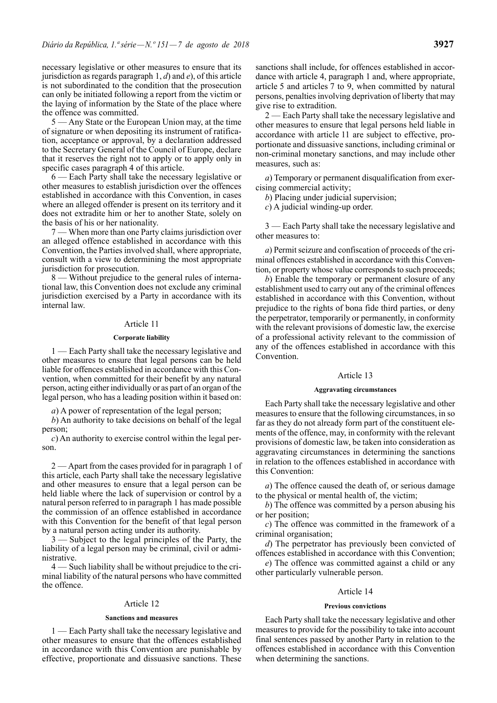necessary legislative or other measures to ensure that its jurisdiction as regards paragraph 1, *d*) and *e*), of this article is not subordinated to the condition that the prosecution can only be initiated following a report from the victim or the laying of information by the State of the place where the offence was committed.

5 — Any State or the European Union may, at the time of signature or when depositing its instrument of ratification, acceptance or approval, by a declaration addressed to the Secretary General of the Council of Europe, declare that it reserves the right not to apply or to apply only in specific cases paragraph 4 of this article.

6 — Each Party shall take the necessary legislative or other measures to establish jurisdiction over the offences established in accordance with this Convention, in cases where an alleged offender is present on its territory and it does not extradite him or her to another State, solely on the basis of his or her nationality.

7 — When more than one Party claims jurisdiction over an alleged offence established in accordance with this Convention, the Parties involved shall, where appropriate, consult with a view to determining the most appropriate jurisdiction for prosecution.

8 — Without prejudice to the general rules of international law, this Convention does not exclude any criminal jurisdiction exercised by a Party in accordance with its internal law.

# Article 11

## **Corporate liability**

1 — Each Party shall take the necessary legislative and other measures to ensure that legal persons can be held liable for offences established in accordance with this Convention, when committed for their benefit by any natural person, acting either individually or as part of an organ of the legal person, who has a leading position within it based on:

*a*) A power of representation of the legal person;

*b*) An authority to take decisions on behalf of the legal person;

*c*) An authority to exercise control within the legal person.

2 — Apart from the cases provided for in paragraph 1 of this article, each Party shall take the necessary legislative and other measures to ensure that a legal person can be held liable where the lack of supervision or control by a natural person referred to in paragraph 1 has made possible the commission of an offence established in accordance with this Convention for the benefit of that legal person by a natural person acting under its authority.

3 — Subject to the legal principles of the Party, the liability of a legal person may be criminal, civil or administrative.

4 — Such liability shall be without prejudice to the criminal liability of the natural persons who have committed the offence.

# Article 12

#### **Sanctions and measures**

1 — Each Party shall take the necessary legislative and other measures to ensure that the offences established in accordance with this Convention are punishable by effective, proportionate and dissuasive sanctions. These sanctions shall include, for offences established in accordance with article 4, paragraph 1 and, where appropriate, article 5 and articles 7 to 9, when committed by natural persons, penalties involving deprivation of liberty that may give rise to extradition.

2 — Each Party shall take the necessary legislative and other measures to ensure that legal persons held liable in accordance with article 11 are subject to effective, proportionate and dissuasive sanctions, including criminal or non -criminal monetary sanctions, and may include other measures, such as:

*a*) Temporary or permanent disqualification from exercising commercial activity;

*b*) Placing under judicial supervision;

*c*) A judicial winding-up order.

3 — Each Party shall take the necessary legislative and other measures to:

*a*) Permit seizure and confiscation of proceeds of the criminal offences established in accordance with this Convention, or property whose value corresponds to such proceeds;

*b*) Enable the temporary or permanent closure of any establishment used to carry out any of the criminal offences established in accordance with this Convention, without prejudice to the rights of bona fide third parties, or deny the perpetrator, temporarily or permanently, in conformity with the relevant provisions of domestic law, the exercise of a professional activity relevant to the commission of any of the offences established in accordance with this Convention.

# Article 13

### **Aggravating circumstances**

Each Party shall take the necessary legislative and other measures to ensure that the following circumstances, in so far as they do not already form part of the constituent elements of the offence, may, in conformity with the relevant provisions of domestic law, be taken into consideration as aggravating circumstances in determining the sanctions in relation to the offences established in accordance with this Convention:

*a*) The offence caused the death of, or serious damage to the physical or mental health of, the victim;

*b*) The offence was committed by a person abusing his or her position;

*c*) The offence was committed in the framework of a criminal organisation;

*d*) The perpetrator has previously been convicted of offences established in accordance with this Convention;

*e*) The offence was committed against a child or any other particularly vulnerable person.

### Article 14

### **Previous convictions**

Each Party shall take the necessary legislative and other measures to provide for the possibility to take into account final sentences passed by another Party in relation to the offences established in accordance with this Convention when determining the sanctions.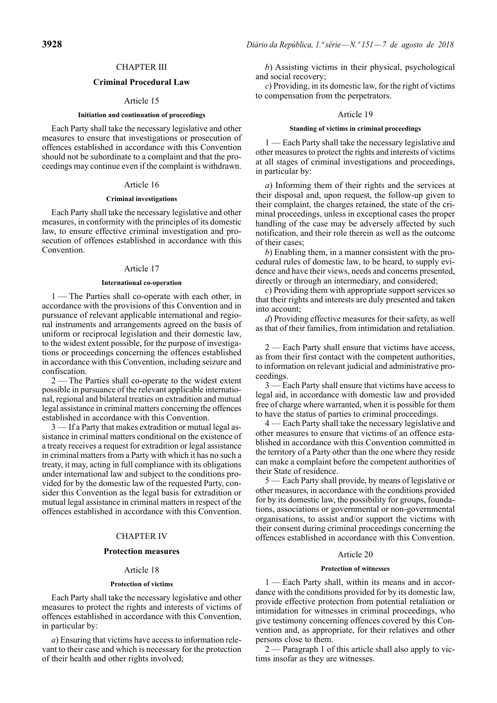# CHAPTER III

# **Criminal Procedural Law**

# Article 15

# **Initiation and continuation of proceedings**

Each Party shall take the necessary legislative and other measures to ensure that investigations or prosecution of offences established in accordance with this Convention should not be subordinate to a complaint and that the proceedings may continue even if the complaint is withdrawn.

### Article 16

### **Criminal investigations**

Each Party shall take the necessary legislative and other measures, in conformity with the principles of its domestic law, to ensure effective criminal investigation and prosecution of offences established in accordance with this **Convention** 

### Article 17

### **International co -operation**

1 — The Parties shall co -operate with each other, in accordance with the provisions of this Convention and in pursuance of relevant applicable international and regional instruments and arrangements agreed on the basis of uniform or reciprocal legislation and their domestic law, to the widest extent possible, for the purpose of investigations or proceedings concerning the offences established in accordance with this Convention, including seizure and confiscation.

2 — The Parties shall co-operate to the widest extent possible in pursuance of the relevant applicable international, regional and bilateral treaties on extradition and mutual legal assistance in criminal matters concerning the offences established in accordance with this Convention.

3 — If a Party that makes extradition or mutual legal assistance in criminal matters conditional on the existence of a treaty receives a request for extradition or legal assistance in criminal matters from a Party with which it has no such a treaty, it may, acting in full compliance with its obligations under international law and subject to the conditions provided for by the domestic law of the requested Party, consider this Convention as the legal basis for extradition or mutual legal assistance in criminal matters in respect of the offences established in accordance with this Convention.

# CHAPTER IV

### **Protection measures**

## Article 18

### **Protection of victims**

Each Party shall take the necessary legislative and other measures to protect the rights and interests of victims of offences established in accordance with this Convention, in particular by:

*a*) Ensuring that victims have access to information relevant to their case and which is necessary for the protection of their health and other rights involved;

*b*) Assisting victims in their physical, psychological and social recovery;

*c*) Providing, in its domestic law, for the right of victims to compensation from the perpetrators.

# Article 19

### **Standing of victims in criminal proceedings**

1 — Each Party shall take the necessary legislative and other measures to protect the rights and interests of victims at all stages of criminal investigations and proceedings, in particular by:

*a*) Informing them of their rights and the services at their disposal and, upon request, the follow -up given to their complaint, the charges retained, the state of the criminal proceedings, unless in exceptional cases the proper handling of the case may be adversely affected by such notification, and their role therein as well as the outcome of their cases;

*b*) Enabling them, in a manner consistent with the procedural rules of domestic law, to be heard, to supply evidence and have their views, needs and concerns presented, directly or through an intermediary, and considered;

*c*) Providing them with appropriate support services so that their rights and interests are duly presented and taken into account;

*d*) Providing effective measures for their safety, as well as that of their families, from intimidation and retaliation.

2 — Each Party shall ensure that victims have access, as from their first contact with the competent authorities, to information on relevant judicial and administrative proceedings.

3 — Each Party shall ensure that victims have access to legal aid, in accordance with domestic law and provided free of charge where warranted, when it is possible for them to have the status of parties to criminal proceedings.

4 — Each Party shall take the necessary legislative and other measures to ensure that victims of an offence established in accordance with this Convention committed in the territory of a Party other than the one where they reside can make a complaint before the competent authorities of their State of residence.

5 — Each Party shall provide, by means of legislative or other measures, in accordance with the conditions provided for by its domestic law, the possibility for groups, foundations, associations or governmental or non -governmental organisations, to assist and/or support the victims with their consent during criminal proceedings concerning the offences established in accordance with this Convention.

# Article 20

### **Protection of witnesses**

1 — Each Party shall, within its means and in accordance with the conditions provided for by its domestic law, provide effective protection from potential retaliation or intimidation for witnesses in criminal proceedings, who give testimony concerning offences covered by this Convention and, as appropriate, for their relatives and other persons close to them.

2 — Paragraph 1 of this article shall also apply to victims insofar as they are witnesses.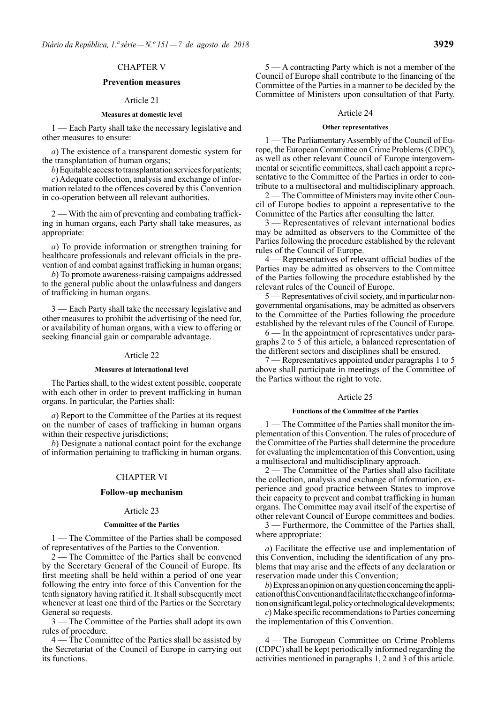# CHAPTER V

# **Prevention measures**

# Article 21

# **Measures at domestic level**

1 — Each Party shall take the necessary legislative and other measures to ensure:

*a*) The existence of a transparent domestic system for the transplantation of human organs;

*b*) Equitable access to transplantation services for patients;

*c*) Adequate collection, analysis and exchange of information related to the offences covered by this Convention in co -operation between all relevant authorities.

2 — With the aim of preventing and combating trafficking in human organs, each Party shall take measures, as appropriate:

*a*) To provide information or strengthen training for healthcare professionals and relevant officials in the prevention of and combat against trafficking in human organs;

*b*) To promote awareness-raising campaigns addressed to the general public about the unlawfulness and dangers of trafficking in human organs.

3 — Each Party shall take the necessary legislative and other measures to prohibit the advertising of the need for, or availability of human organs, with a view to offering or seeking financial gain or comparable advantage.

### Article 22

### **Measures at international level**

The Parties shall, to the widest extent possible, cooperate with each other in order to prevent trafficking in human organs. In particular, the Parties shall:

*a*) Report to the Committee of the Parties at its request on the number of cases of trafficking in human organs within their respective jurisdictions;

*b*) Designate a national contact point for the exchange of information pertaining to trafficking in human organs.

### CHAPTER VI

### **Follow -up mechanism**

### Article 23

### **Committee of the Parties**

1 — The Committee of the Parties shall be composed of representatives of the Parties to the Convention.

2 — The Committee of the Parties shall be convened by the Secretary General of the Council of Europe. Its first meeting shall be held within a period of one year following the entry into force of this Convention for the tenth signatory having ratified it. It shall subsequently meet whenever at least one third of the Parties or the Secretary General so requests.

3 — The Committee of the Parties shall adopt its own rules of procedure.

4 — The Committee of the Parties shall be assisted by the Secretariat of the Council of Europe in carrying out its functions.

### Article 24

### **Other representatives**

1 — The Parliamentary Assembly of the Council of Europe, the European Committee on Crime Problems (CDPC), as well as other relevant Council of Europe intergovernmental or scientific committees, shall each appoint a representative to the Committee of the Parties in order to contribute to a multisectoral and multidisciplinary approach.

2 — The Committee of Ministers may invite other Council of Europe bodies to appoint a representative to the Committee of the Parties after consulting the latter.

3 — Representatives of relevant international bodies may be admitted as observers to the Committee of the Parties following the procedure established by the relevant rules of the Council of Europe.

4 — Representatives of relevant official bodies of the Parties may be admitted as observers to the Committee of the Parties following the procedure established by the relevant rules of the Council of Europe.

5 — Representatives of civil society, and in particular nongovernmental organisations, may be admitted as observers to the Committee of the Parties following the procedure established by the relevant rules of the Council of Europe.

6 — In the appointment of representatives under paragraphs 2 to 5 of this article, a balanced representation of the different sectors and disciplines shall be ensured.

7 — Representatives appointed under paragraphs 1 to 5 above shall participate in meetings of the Committee of the Parties without the right to vote.

### Article 25

### **Functions of the Committee of the Parties**

1 — The Committee of the Parties shall monitor the implementation of this Convention. The rules of procedure of the Committee of the Parties shall determine the procedure for evaluating the implementation of this Convention, using a multisectoral and multidisciplinary approach.

2 — The Committee of the Parties shall also facilitate the collection, analysis and exchange of information, experience and good practice between States to improve their capacity to prevent and combat trafficking in human organs. The Committee may avail itself of the expertise of other relevant Council of Europe committees and bodies.

3 — Furthermore, the Committee of the Parties shall, where appropriate:

*a*) Facilitate the effective use and implementation of this Convention, including the identification of any problems that may arise and the effects of any declaration or reservation made under this Convention;

*b*) Express an opinion on any question concerning the application of this Convention and facilitate the exchange of information on significant legal, policy or technological developments;

*c*) Make specific recommendations to Parties concerning the implementation of this Convention.

4 — The European Committee on Crime Problems (CDPC) shall be kept periodically informed regarding the activities mentioned in paragraphs 1, 2 and 3 of this article.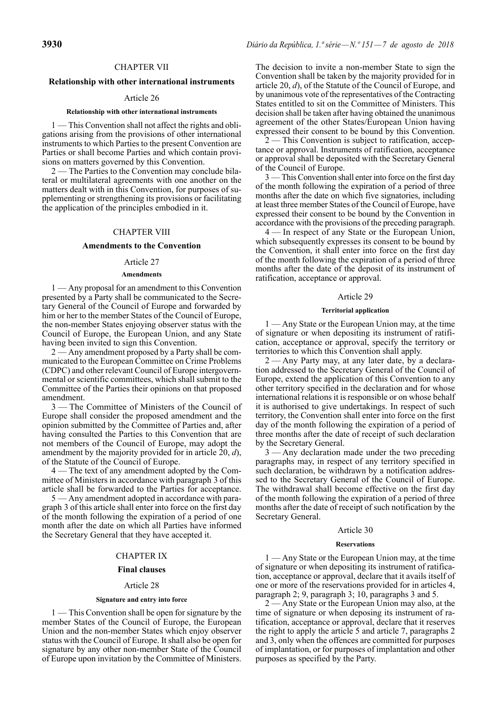## CHAPTER VII

### **Relationship with other international instruments**

### Article 26

### **Relationship with other international instruments**

1 — This Convention shall not affect the rights and obligations arising from the provisions of other international instruments to which Parties to the present Convention are Parties or shall become Parties and which contain provisions on matters governed by this Convention.

2 — The Parties to the Convention may conclude bilateral or multilateral agreements with one another on the matters dealt with in this Convention, for purposes of supplementing or strengthening its provisions or facilitating the application of the principles embodied in it.

### CHAPTER VIII

### **Amendments to the Convention**

## Article 27

#### **Amendments**

1 — Any proposal for an amendment to this Convention presented by a Party shall be communicated to the Secretary General of the Council of Europe and forwarded by him or her to the member States of the Council of Europe, the non -member States enjoying observer status with the Council of Europe, the European Union, and any State having been invited to sign this Convention.

2 — Any amendment proposed by a Party shall be communicated to the European Committee on Crime Problems (CDPC) and other relevant Council of Europe intergovernmental or scientific committees, which shall submit to the Committee of the Parties their opinions on that proposed amendment.

3 — The Committee of Ministers of the Council of Europe shall consider the proposed amendment and the opinion submitted by the Committee of Parties and, after having consulted the Parties to this Convention that are not members of the Council of Europe, may adopt the amendment by the majority provided for in article 20, *d*), of the Statute of the Council of Europe.

4 — The text of any amendment adopted by the Committee of Ministers in accordance with paragraph 3 of this article shall be forwarded to the Parties for acceptance.

5 — Any amendment adopted in accordance with paragraph 3 of this article shall enter into force on the first day of the month following the expiration of a period of one month after the date on which all Parties have informed the Secretary General that they have accepted it.

### CHAPTER IX

### **Final clauses**

### Article 28

### **Signature and entry into force**

1 — This Convention shall be open for signature by the member States of the Council of Europe, the European Union and the non -member States which enjoy observer status with the Council of Europe. It shall also be open for signature by any other non -member State of the Council of Europe upon invitation by the Committee of Ministers. The decision to invite a non-member State to sign the Convention shall be taken by the majority provided for in article 20, *d*), of the Statute of the Council of Europe, and by unanimous vote of the representatives of the Contracting States entitled to sit on the Committee of Ministers. This decision shall be taken after having obtained the unanimous agreement of the other States/European Union having expressed their consent to be bound by this Convention.

2 — This Convention is subject to ratification, acceptance or approval. Instruments of ratification, acceptance or approval shall be deposited with the Secretary General of the Council of Europe.

3 — This Convention shall enter into force on the first day of the month following the expiration of a period of three months after the date on which five signatories, including at least three member States of the Council of Europe, have expressed their consent to be bound by the Convention in accordance with the provisions of the preceding paragraph.

4 — In respect of any State or the European Union, which subsequently expresses its consent to be bound by the Convention, it shall enter into force on the first day of the month following the expiration of a period of three months after the date of the deposit of its instrument of ratification, acceptance or approval.

### Article 29

### **Territorial application**

1 — Any State or the European Union may, at the time of signature or when depositing its instrument of ratification, acceptance or approval, specify the territory or territories to which this Convention shall apply.

2 — Any Party may, at any later date, by a declaration addressed to the Secretary General of the Council of Europe, extend the application of this Convention to any other territory specified in the declaration and for whose international relations it is responsible or on whose behalf it is authorised to give undertakings. In respect of such territory, the Convention shall enter into force on the first day of the month following the expiration of a period of three months after the date of receipt of such declaration by the Secretary General.

3 — Any declaration made under the two preceding paragraphs may, in respect of any territory specified in such declaration, be withdrawn by a notification addressed to the Secretary General of the Council of Europe. The withdrawal shall become effective on the first day of the month following the expiration of a period of three months after the date of receipt of such notification by the Secretary General.

## Article 30

#### **Reservations**

1 — Any State or the European Union may, at the time of signature or when depositing its instrument of ratification, acceptance or approval, declare that it avails itself of one or more of the reservations provided for in articles 4, paragraph 2; 9, paragraph 3; 10, paragraphs 3 and 5.

2 — Any State or the European Union may also, at the time of signature or when deposing its instrument of ratification, acceptance or approval, declare that it reserves the right to apply the article 5 and article 7, paragraphs 2 and 3, only when the offences are committed for purposes of implantation, or for purposes of implantation and other purposes as specified by the Party.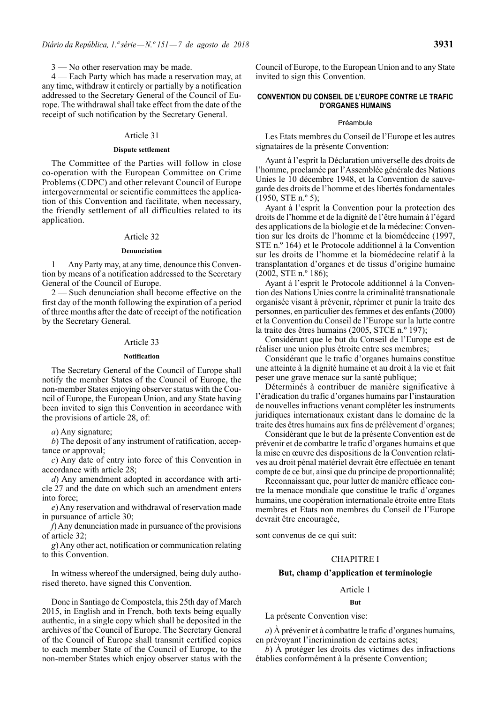3 — No other reservation may be made.

4 — Each Party which has made a reservation may, at any time, withdraw it entirely or partially by a notification addressed to the Secretary General of the Council of Europe. The withdrawal shall take effect from the date of the receipt of such notification by the Secretary General.

### Article 31

## **Dispute settlement**

The Committee of the Parties will follow in close co -operation with the European Committee on Crime Problems (CDPC) and other relevant Council of Europe intergovernmental or scientific committees the application of this Convention and facilitate, when necessary, the friendly settlement of all difficulties related to its application.

# Article 32

## **Denunciation**

1 — Any Party may, at any time, denounce this Convention by means of a notification addressed to the Secretary General of the Council of Europe.

2 — Such denunciation shall become effective on the first day of the month following the expiration of a period of three months after the date of receipt of the notification by the Secretary General.

# Article 33

### **Notification**

The Secretary General of the Council of Europe shall notify the member States of the Council of Europe, the non -member States enjoying observer status with the Council of Europe, the European Union, and any State having been invited to sign this Convention in accordance with the provisions of article 28, of:

*a*) Any signature;

*b*) The deposit of any instrument of ratification, acceptance or approval;

*c*) Any date of entry into force of this Convention in accordance with article 28;

*d*) Any amendment adopted in accordance with article 27 and the date on which such an amendment enters into force;

*e*) Any reservation and withdrawal of reservation made in pursuance of article 30;

*f*) Any denunciation made in pursuance of the provisions of article 32;

*g*) Any other act, notification or communication relating to this Convention.

In witness whereof the undersigned, being duly authorised thereto, have signed this Convention.

Done in Santiago de Compostela, this 25th day of March 2015, in English and in French, both texts being equally authentic, in a single copy which shall be deposited in the archives of the Council of Europe. The Secretary General of the Council of Europe shall transmit certified copies to each member State of the Council of Europe, to the non -member States which enjoy observer status with the Council of Europe, to the European Union and to any State invited to sign this Convention.

# **CONVENTION DU CONSEIL DE L'EUROPE CONTRE LE TRAFIC D'ORGANES HUMAINS**

# Préambule

Les Etats membres du Conseil de l'Europe et les autres signataires de la présente Convention:

Ayant à l'esprit la Déclaration universelle des droits de l'homme, proclamée par l'Assemblée générale des Nations Unies le 10 décembre 1948, et la Convention de sauvegarde des droits de l'homme et des libertés fondamentales  $(1950, \text{STE} \text{ n.}^{\circ} 5);$ 

Ayant à l'esprit la Convention pour la protection des droits de l'homme et de la dignité de l'être humain à l'égard des applications de la biologie et de la médecine: Convention sur les droits de l'homme et la biomédecine (1997, STE n.º 164) et le Protocole additionnel à la Convention sur les droits de l'homme et la biomédecine relatif à la transplantation d'organes et de tissus d'origine humaine  $(2002, \text{STE} \text{ n.}^{\circ} 186);$ 

Ayant à l'esprit le Protocole additionnel à la Convention des Nations Unies contre la criminalité transnationale organisée visant à prévenir, réprimer et punir la traite des personnes, en particulier des femmes et des enfants (2000) et la Convention du Conseil de l'Europe sur la lutte contre la traite des êtres humains (2005, STCE n.º 197);

Considérant que le but du Conseil de l'Europe est de réaliser une union plus étroite entre ses membres;

Considérant que le trafic d'organes humains constitue une atteinte à la dignité humaine et au droit à la vie et fait peser une grave menace sur la santé publique;

Déterminés à contribuer de manière significative à l'éradication du trafic d'organes humains par l'instauration de nouvelles infractions venant compléter les instruments juridiques internationaux existant dans le domaine de la traite des êtres humains aux fins de prélèvement d'organes;

Considérant que le but de la présente Convention est de prévenir et de combattre le trafic d'organes humains et que la mise en œuvre des dispositions de la Convention relatives au droit pénal matériel devrait être effectuée en tenant compte de ce but, ainsi que du principe de proportionnalité;

Reconnaissant que, pour lutter de manière efficace contre la menace mondiale que constitue le trafic d'organes humains, une coopération internationale étroite entre Etats membres et Etats non membres du Conseil de l'Europe devrait être encouragée,

sont convenus de ce qui suit:

## CHAPITRE I

## **But, champ d'application et terminologie**

## Article 1

# **But**

La présente Convention vise:

*a*) À prévenir et à combattre le trafic d'organes humains, en prévoyant l'incrimination de certains actes;

*b*) À protéger les droits des victimes des infractions établies conformément à la présente Convention;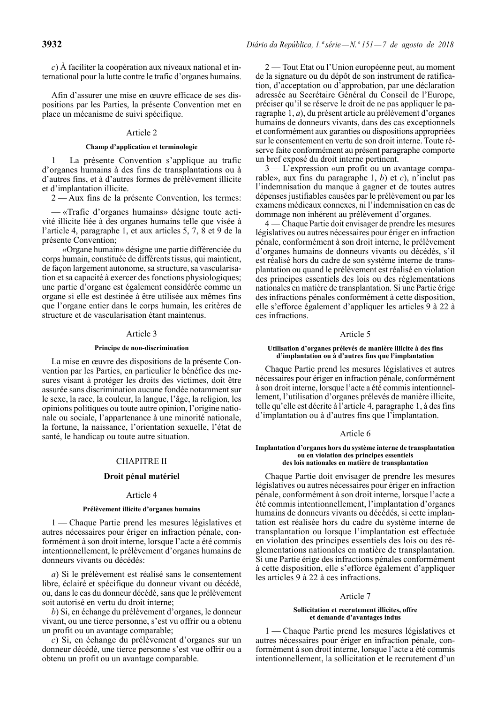*c*) À faciliter la coopération aux niveaux national et international pour la lutte contre le trafic d'organes humains.

Afin d'assurer une mise en œuvre efficace de ses dispositions par les Parties, la présente Convention met en place un mécanisme de suivi spécifique.

## Article 2

### **Champ d'application et terminologie**

1 — La présente Convention s'applique au trafic d'organes humains à des fins de transplantations ou à d'autres fins, et à d'autres formes de prélèvement illicite et d'implantation illicite.

2 — Aux fins de la présente Convention, les termes:

— «Trafic d'organes humains» désigne toute activité illicite liée à des organes humains telle que visée à l'article 4, paragraphe 1, et aux articles 5, 7, 8 et 9 de la présente Convention;

— «Organe humain» désigne une partie différenciée du corps humain, constituée de différents tissus, qui maintient, de façon largement autonome, sa structure, sa vascularisation et sa capacité à exercer des fonctions physiologiques; une partie d'organe est également considérée comme un organe si elle est destinée à être utilisée aux mêmes fins que l'organe entier dans le corps humain, les critères de structure et de vascularisation étant maintenus.

### Article 3

### **Principe de non -discrimination**

La mise en œuvre des dispositions de la présente Convention par les Parties, en particulier le bénéfice des mesures visant à protéger les droits des victimes, doit être assurée sans discrimination aucune fondée notamment sur le sexe, la race, la couleur, la langue, l'âge, la religion, les opinions politiques ou toute autre opinion, l'origine nationale ou sociale, l'appartenance à une minorité nationale, la fortune, la naissance, l'orientation sexuelle, l'état de santé, le handicap ou toute autre situation.

# CHAPITRE II

## **Droit pénal matériel**

## Article 4

## **Prélèvement illicite d'organes humains**

1 — Chaque Partie prend les mesures législatives et autres nécessaires pour ériger en infraction pénale, conformément à son droit interne, lorsque l'acte a été commis intentionnellement, le prélèvement d'organes humains de donneurs vivants ou décédés:

*a*) Si le prélèvement est réalisé sans le consentement libre, éclairé et spécifique du donneur vivant ou décédé, ou, dans le cas du donneur décédé, sans que le prélèvement soit autorisé en vertu du droit interne;

*b*) Si, en échange du prélèvement d'organes, le donneur vivant, ou une tierce personne, s'est vu offrir ou a obtenu un profit ou un avantage comparable;

*c*) Si, en échange du prélèvement d'organes sur un donneur décédé, une tierce personne s'est vue offrir ou a obtenu un profit ou un avantage comparable.

2 — Tout Etat ou l'Union européenne peut, au moment de la signature ou du dépôt de son instrument de ratification, d'acceptation ou d'approbation, par une déclaration adressée au Secrétaire Général du Conseil de l'Europe, préciser qu'il se réserve le droit de ne pas appliquer le paragraphe 1, *a*), du présent article au prélèvement d'organes humains de donneurs vivants, dans des cas exceptionnels et conformément aux garanties ou dispositions appropriées sur le consentement en vertu de son droit interne. Toute réserve faite conformément au présent paragraphe comporte un bref exposé du droit interne pertinent.

3 — L'expression «un profit ou un avantage comparable», aux fins du paragraphe 1, *b*) et *c*), n'inclut pas l'indemnisation du manque à gagner et de toutes autres dépenses justifiables causées par le prélèvement ou par les examens médicaux connexes, ni l'indemnisation en cas de dommage non inhérent au prélèvement d'organes.

4 — Chaque Partie doit envisager de prendre les mesures législatives ou autres nécessaires pour ériger en infraction pénale, conformément à son droit interne, le prélèvement d'organes humains de donneurs vivants ou décédés, s'il est réalisé hors du cadre de son système interne de transplantation ou quand le prélèvement est réalisé en violation des principes essentiels des lois ou des réglementations nationales en matière de transplantation. Si une Partie érige des infractions pénales conformément à cette disposition, elle s'efforce également d'appliquer les articles 9 à 22 à ces infractions.

### Article 5

### **Utilisation d'organes prélevés de manière illicite à des fins d'implantation ou à d'autres fins que l'implantation**

Chaque Partie prend les mesures législatives et autres nécessaires pour ériger en infraction pénale, conformément à son droit interne, lorsque l'acte a été commis intentionnellement, l'utilisation d'organes prélevés de manière illicite, telle qu'elle est décrite à l'article 4, paragraphe 1, à des fins d'implantation ou à d'autres fins que l'implantation.

### Article 6

### **Implantation d'organes hors du système interne de transplantation ou en violation des principes essentiels des lois nationales en matière de transplantation**

Chaque Partie doit envisager de prendre les mesures législatives ou autres nécessaires pour ériger en infraction pénale, conformément à son droit interne, lorsque l'acte a été commis intentionnellement, l'implantation d'organes humains de donneurs vivants ou décédés, si cette implantation est réalisée hors du cadre du système interne de transplantation ou lorsque l'implantation est effectuée en violation des principes essentiels des lois ou des réglementations nationales en matière de transplantation. Si une Partie érige des infractions pénales conformément à cette disposition, elle s'efforce également d'appliquer les articles 9 à 22 à ces infractions.

### Article 7

### **Sollicitation et recrutement illicites, offre et demande d'avantages indus**

1 — Chaque Partie prend les mesures législatives et autres nécessaires pour ériger en infraction pénale, conformément à son droit interne, lorsque l'acte a été commis intentionnellement, la sollicitation et le recrutement d'un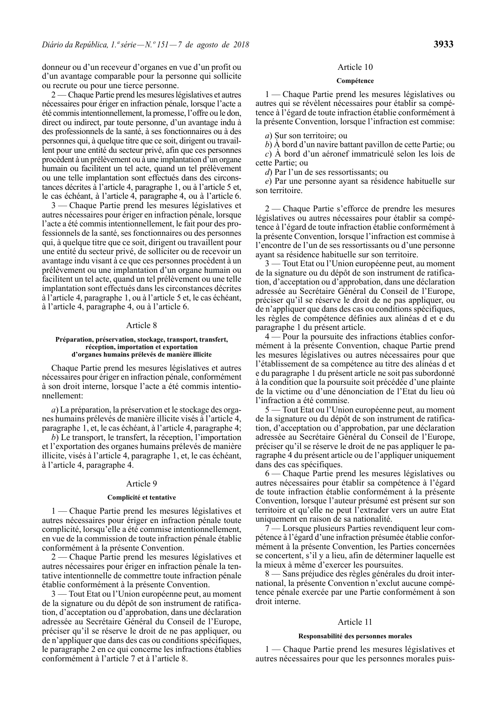donneur ou d'un receveur d'organes en vue d'un profit ou d'un avantage comparable pour la personne qui sollicite ou recrute ou pour une tierce personne.

2 — Chaque Partie prend les mesures législatives et autres nécessaires pour ériger en infraction pénale, lorsque l'acte a été commis intentionnellement, la promesse, l'offre ou le don, direct ou indirect, par toute personne, d'un avantage indu à des professionnels de la santé, à ses fonctionnaires ou à des personnes qui, à quelque titre que ce soit, dirigent ou travaillent pour une entité du secteur privé, afin que ces personnes procèdent à un prélèvement ou à une implantation d'un organe humain ou facilitent un tel acte, quand un tel prélèvement ou une telle implantation sont effectués dans des circonstances décrites à l'article 4, paragraphe 1, ou à l'article 5 et, le cas échéant, à l'article 4, paragraphe 4, ou à l'article 6.

3 — Chaque Partie prend les mesures législatives et autres nécessaires pour ériger en infraction pénale, lorsque l'acte a été commis intentionnellement, le fait pour des professionnels de la santé, ses fonctionnaires ou des personnes qui, à quelque titre que ce soit, dirigent ou travaillent pour une entité du secteur privé, de solliciter ou de recevoir un avantage indu visant à ce que ces personnes procèdent à un prélèvement ou une implantation d'un organe humain ou facilitent un tel acte, quand un tel prélèvement ou une telle implantation sont effectués dans les circonstances décrites à l'article 4, paragraphe 1, ou à l'article 5 et, le cas échéant, à l'article 4, paragraphe 4, ou à l'article 6.

# Article 8

### **Préparation, préservation, stockage, transport, transfert, réception, importation et exportation d'organes humains prélevés de manière illicite**

Chaque Partie prend les mesures législatives et autres nécessaires pour ériger en infraction pénale, conformément à son droit interne, lorsque l'acte a été commis intentionnellement:

*a*) La préparation, la préservation et le stockage des organes humains prélevés de manière illicite visés à l'article 4, paragraphe 1, et, le cas échéant, à l'article 4, paragraphe 4;

*b*) Le transport, le transfert, la réception, l'importation et l'exportation des organes humains prélevés de manière illicite, visés à l'article 4, paragraphe 1, et, le cas échéant, à l'article 4, paragraphe 4.

### Article 9

## **Complicité et tentative**

1 — Chaque Partie prend les mesures législatives et autres nécessaires pour ériger en infraction pénale toute complicité, lorsqu'elle a été commise intentionnellement, en vue de la commission de toute infraction pénale établie conformément à la présente Convention.

2 — Chaque Partie prend les mesures législatives et autres nécessaires pour ériger en infraction pénale la tentative intentionnelle de commettre toute infraction pénale établie conformément à la présente Convention.

3 — Tout Etat ou l'Union européenne peut, au moment de la signature ou du dépôt de son instrument de ratification, d'acceptation ou d'approbation, dans une déclaration adressée au Secrétaire Général du Conseil de l'Europe, préciser qu'il se réserve le droit de ne pas appliquer, ou de n'appliquer que dans des cas ou conditions spécifiques, le paragraphe 2 en ce qui concerne les infractions établies conformément à l'article 7 et à l'article 8.

### Article 10

### **Compétence**

1 — Chaque Partie prend les mesures législatives ou autres qui se révèlent nécessaires pour établir sa compétence à l'égard de toute infraction établie conformément à la présente Convention, lorsque l'infraction est commise:

*a*) Sur son territoire; ou

*b*) À bord d'un navire battant pavillon de cette Partie; ou *c*) À bord d'un aéronef immatriculé selon les lois de

cette Partie; ou

*d*) Par l'un de ses ressortissants; ou

*e*) Par une personne ayant sa résidence habituelle sur son territoire.

2 — Chaque Partie s'efforce de prendre les mesures législatives ou autres nécessaires pour établir sa compétence à l'égard de toute infraction établie conformément à la présente Convention, lorsque l'infraction est commise à l'encontre de l'un de ses ressortissants ou d'une personne ayant sa résidence habituelle sur son territoire.

3 — Tout Etat ou l'Union européenne peut, au moment de la signature ou du dépôt de son instrument de ratification, d'acceptation ou d'approbation, dans une déclaration adressée au Secrétaire Général du Conseil de l'Europe, préciser qu'il se réserve le droit de ne pas appliquer, ou de n'appliquer que dans des cas ou conditions spécifiques, les règles de compétence définies aux alinéas d et e du paragraphe 1 du présent article.

4 — Pour la poursuite des infractions établies conformément à la présente Convention, chaque Partie prend les mesures législatives ou autres nécessaires pour que l'établissement de sa compétence au titre des alinéas d et e du paragraphe 1 du présent article ne soit pas subordonné à la condition que la poursuite soit précédée d'une plainte de la victime ou d'une dénonciation de l'Etat du lieu où l'infraction a été commise.

5 — Tout Etat ou l'Union européenne peut, au moment de la signature ou du dépôt de son instrument de ratification, d'acceptation ou d'approbation, par une déclaration adressée au Secrétaire Général du Conseil de l'Europe, préciser qu'il se réserve le droit de ne pas appliquer le paragraphe 4 du présent article ou de l'appliquer uniquement dans des cas spécifiques.

6 — Chaque Partie prend les mesures législatives ou autres nécessaires pour établir sa compétence à l'égard de toute infraction établie conformément à la présente Convention, lorsque l'auteur présumé est présent sur son territoire et qu'elle ne peut l'extrader vers un autre Etat uniquement en raison de sa nationalité.

7 — Lorsque plusieurs Parties revendiquent leur compétence à l'égard d'une infraction présumée établie conformément à la présente Convention, les Parties concernées se concertent, s'il y a lieu, afin de déterminer laquelle est la mieux à même d'exercer les poursuites.

8 — Sans préjudice des règles générales du droit international, la présente Convention n'exclut aucune compétence pénale exercée par une Partie conformément à son droit interne.

### Article 11

#### **Responsabilité des personnes morales**

1 — Chaque Partie prend les mesures législatives et autres nécessaires pour que les personnes morales puis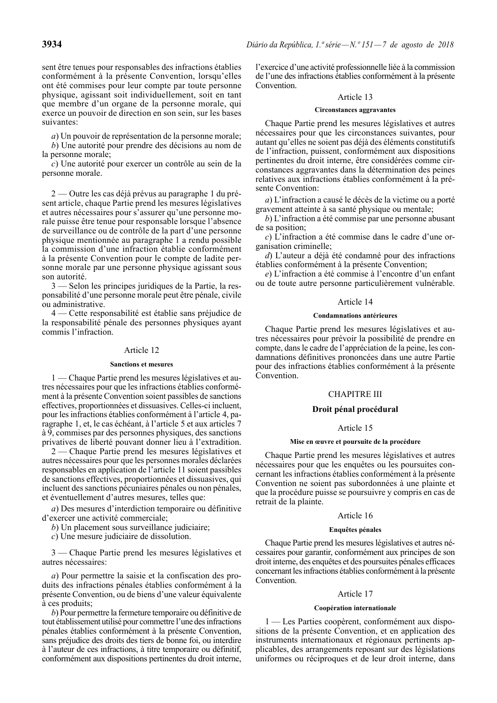sent être tenues pour responsables des infractions établies conformément à la présente Convention, lorsqu'elles ont été commises pour leur compte par toute personne physique, agissant soit individuellement, soit en tant que membre d'un organe de la personne morale, qui exerce un pouvoir de direction en son sein, sur les bases suivantes:

*a*) Un pouvoir de représentation de la personne morale; *b*) Une autorité pour prendre des décisions au nom de la personne morale;

*c*) Une autorité pour exercer un contrôle au sein de la personne morale.

2 — Outre les cas déjà prévus au paragraphe 1 du présent article, chaque Partie prend les mesures législatives et autres nécessaires pour s'assurer qu'une personne morale puisse être tenue pour responsable lorsque l'absence de surveillance ou de contrôle de la part d'une personne physique mentionnée au paragraphe 1 a rendu possible la commission d'une infraction établie conformément à la présente Convention pour le compte de ladite personne morale par une personne physique agissant sous son autorité.

3 — Selon les principes juridiques de la Partie, la responsabilité d'une personne morale peut être pénale, civile ou administrative.

4 — Cette responsabilité est établie sans préjudice de la responsabilité pénale des personnes physiques ayant commis l'infraction.

#### Article 12

### **Sanctions et mesures**

1 — Chaque Partie prend les mesures législatives et autres nécessaires pour que les infractions établies conformément à la présente Convention soient passibles de sanctions effectives, proportionnées et dissuasives. Celles -ci incluent, pour les infractions établies conformément à l'article 4, paragraphe 1, et, le cas échéant, à l'article 5 et aux articles 7 à 9, commises par des personnes physiques, des sanctions privatives de liberté pouvant donner lieu à l'extradition.

2 — Chaque Partie prend les mesures législatives et autres nécessaires pour que les personnes morales déclarées responsables en application de l'article 11 soient passibles de sanctions effectives, proportionnées et dissuasives, qui incluent des sanctions pécuniaires pénales ou non pénales, et éventuellement d'autres mesures, telles que:

*a*) Des mesures d'interdiction temporaire ou définitive d'exercer une activité commerciale;

*b*) Un placement sous surveillance judiciaire;

*c*) Une mesure judiciaire de dissolution.

3 — Chaque Partie prend les mesures législatives et autres nécessaires:

*a*) Pour permettre la saisie et la confiscation des produits des infractions pénales établies conformément à la présente Convention, ou de biens d'une valeur équivalente à ces produits;

*b*) Pour permettre la fermeture temporaire ou définitive de tout établissement utilisé pour commettre l'une des infractions pénales établies conformément à la présente Convention, sans préjudice des droits des tiers de bonne foi, ou interdire à l'auteur de ces infractions, à titre temporaire ou définitif, conformément aux dispositions pertinentes du droit interne, l'exercice d'une activité professionnelle liée à la commission de l'une des infractions établies conformément à la présente Convention.

### Article 13

### **Circonstances aggravantes**

Chaque Partie prend les mesures législatives et autres nécessaires pour que les circonstances suivantes, pour autant qu'elles ne soient pas déjà des éléments constitutifs de l'infraction, puissent, conformément aux dispositions pertinentes du droit interne, être considérées comme circonstances aggravantes dans la détermination des peines relatives aux infractions établies conformément à la présente Convention:

*a*) L'infraction a causé le décès de la victime ou a porté gravement atteinte à sa santé physique ou mentale;

*b*) L'infraction a été commise par une personne abusant de sa position;

*c*) L'infraction a été commise dans le cadre d'une organisation criminelle;

*d*) L'auteur a déjà été condamné pour des infractions établies conformément à la présente Convention;

*e*) L'infraction a été commise à l'encontre d'un enfant ou de toute autre personne particulièrement vulnérable.

### Article 14

### **Condamnations antérieures**

Chaque Partie prend les mesures législatives et autres nécessaires pour prévoir la possibilité de prendre en compte, dans le cadre de l'appréciation de la peine, les condamnations définitives prononcées dans une autre Partie pour des infractions établies conformément à la présente Convention.

## CHAPITRE III

### **Droit pénal procédural**

## Article 15

### **Mise en œuvre et poursuite de la procédure**

Chaque Partie prend les mesures législatives et autres nécessaires pour que les enquêtes ou les poursuites concernant les infractions établies conformément à la présente Convention ne soient pas subordonnées à une plainte et que la procédure puisse se poursuivre y compris en cas de retrait de la plainte.

### Article 16

#### **Enquêtes pénales**

Chaque Partie prend les mesures législatives et autres nécessaires pour garantir, conformément aux principes de son droit interne, des enquêtes et des poursuites pénales efficaces concernant les infractions établies conformément à la présente **Convention** 

### Article 17

### **Coopération internationale**

1 — Les Parties coopèrent, conformément aux dispositions de la présente Convention, et en application des instruments internationaux et régionaux pertinents applicables, des arrangements reposant sur des législations uniformes ou réciproques et de leur droit interne, dans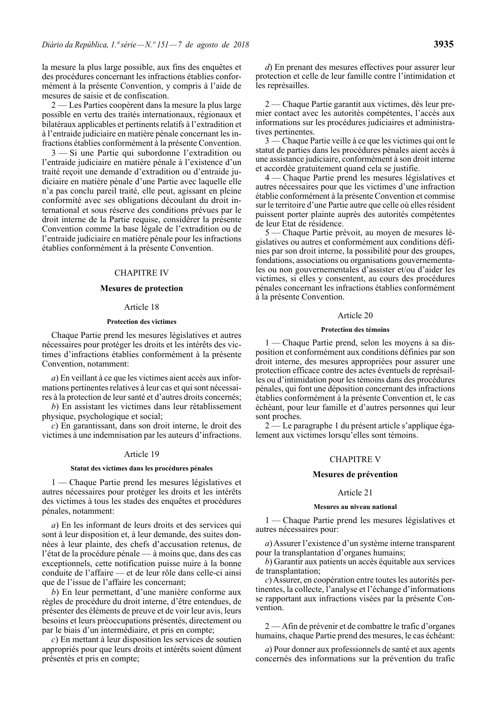la mesure la plus large possible, aux fins des enquêtes et des procédures concernant les infractions établies conformément à la présente Convention, y compris à l'aide de mesures de saisie et de confiscation.

2 — Les Parties coopèrent dans la mesure la plus large possible en vertu des traités internationaux, régionaux et bilatéraux applicables et pertinents relatifs à l'extradition et à l'entraide judiciaire en matière pénale concernant les infractions établies conformément à la présente Convention.

3 — Si une Partie qui subordonne l'extradition ou l'entraide judiciaire en matière pénale à l'existence d'un traité reçoit une demande d'extradition ou d'entraide judiciaire en matière pénale d'une Partie avec laquelle elle n'a pas conclu pareil traité, elle peut, agissant en pleine conformité avec ses obligations découlant du droit international et sous réserve des conditions prévues par le droit interne de la Partie requise, considérer la présente Convention comme la base légale de l'extradition ou de l'entraide judiciaire en matière pénale pour les infractions établies conformément à la présente Convention.

# CHAPITRE IV

## **Mesures de protection**

## Article 18

### **Protection des victimes**

Chaque Partie prend les mesures législatives et autres nécessaires pour protéger les droits et les intérêts des victimes d'infractions établies conformément à la présente Convention, notamment:

*a*) En veillant à ce que les victimes aient accès aux informations pertinentes relatives à leur cas et qui sont nécessaires à la protection de leur santé et d'autres droits concernés;

*b*) En assistant les victimes dans leur rétablissement physique, psychologique et social;

*c*) En garantissant, dans son droit interne, le droit des victimes à une indemnisation par les auteurs d'infractions.

### Article 19

### **Statut des victimes dans les procédures pénales**

1 — Chaque Partie prend les mesures législatives et autres nécessaires pour protéger les droits et les intérêts des victimes à tous les stades des enquêtes et procédures pénales, notamment:

*a*) En les informant de leurs droits et des services qui sont à leur disposition et, à leur demande, des suites données à leur plainte, des chefs d'accusation retenus, de l'état de la procédure pénale — à moins que, dans des cas exceptionnels, cette notification puisse nuire à la bonne conduite de l'affaire — et de leur rôle dans celle -ci ainsi que de l'issue de l'affaire les concernant;

*b*) En leur permettant, d'une manière conforme aux règles de procédure du droit interne, d'être entendues, de présenter des éléments de preuve et de voir leur avis, leurs besoins et leurs préoccupations présentés, directement ou par le biais d'un intermédiaire, et pris en compte;

*c*) En mettant à leur disposition les services de soutien appropriés pour que leurs droits et intérêts soient dûment présentés et pris en compte;

*d*) En prenant des mesures effectives pour assurer leur protection et celle de leur famille contre l'intimidation et les représailles.

2 — Chaque Partie garantit aux victimes, dès leur premier contact avec les autorités compétentes, l'accès aux informations sur les procédures judiciaires et administratives pertinentes.

3 — Chaque Partie veille à ce que les victimes qui ont le statut de parties dans les procédures pénales aient accès à une assistance judiciaire, conformément à son droit interne et accordée gratuitement quand cela se justifie.

4 — Chaque Partie prend les mesures législatives et autres nécessaires pour que les victimes d'une infraction établie conformément à la présente Convention et commise sur le territoire d'une Partie autre que celle où elles résident puissent porter plainte auprès des autorités compétentes de leur Etat de résidence.

5 — Chaque Partie prévoit, au moyen de mesures législatives ou autres et conformément aux conditions définies par son droit interne, la possibilité pour des groupes, fondations, associations ou organisations gouvernementales ou non gouvernementales d'assister et/ou d'aider les victimes, si elles y consentent, au cours des procédures pénales concernant les infractions établies conformément à la présente Convention.

### Article 20

#### **Protection des témoins**

1 — Chaque Partie prend, selon les moyens à sa disposition et conformément aux conditions définies par son droit interne, des mesures appropriées pour assurer une protection efficace contre des actes éventuels de représailles ou d'intimidation pour les témoins dans des procédures pénales, qui font une déposition concernant des infractions établies conformément à la présente Convention et, le cas échéant, pour leur famille et d'autres personnes qui leur sont proches.

2 — Le paragraphe 1 du présent article s'applique également aux victimes lorsqu'elles sont témoins.

# CHAPITRE V

## **Mesures de prévention**

# Article 21

## **Mesures au niveau national**

1 — Chaque Partie prend les mesures législatives et autres nécessaires pour:

*a*) Assurer l'existence d'un système interne transparent pour la transplantation d'organes humains;

*b*) Garantir aux patients un accès équitable aux services de transplantation;

*c*) Assurer, en coopération entre toutes les autorités pertinentes, la collecte, l'analyse et l'échange d'informations se rapportant aux infractions visées par la présente Convention.

2 — Afin de prévenir et de combattre le trafic d'organes humains, chaque Partie prend des mesures, le cas échéant:

*a*) Pour donner aux professionnels de santé et aux agents concernés des informations sur la prévention du trafic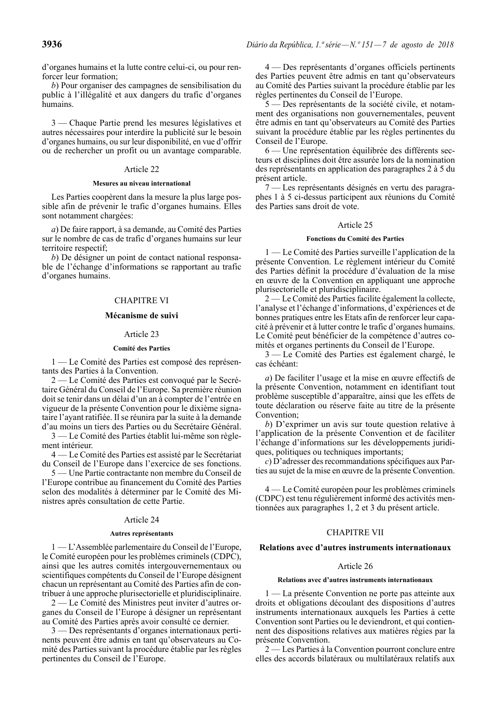d'organes humains et la lutte contre celui -ci, ou pour renforcer leur formation;

*b*) Pour organiser des campagnes de sensibilisation du public à l'illégalité et aux dangers du trafic d'organes humains.

3 — Chaque Partie prend les mesures législatives et autres nécessaires pour interdire la publicité sur le besoin d'organes humains, ou sur leur disponibilité, en vue d'offrir ou de rechercher un profit ou un avantage comparable.

# Article 22

### **Mesures au niveau international**

Les Parties coopèrent dans la mesure la plus large possible afin de prévenir le trafic d'organes humains. Elles sont notamment chargées:

*a*) De faire rapport, à sa demande, au Comité des Parties sur le nombre de cas de trafic d'organes humains sur leur territoire respectif;

*b*) De désigner un point de contact national responsable de l'échange d'informations se rapportant au trafic d'organes humains.

# CHAPITRE VI

### **Mécanisme de suivi**

# Article 23

## **Comité des Parties**

1 — Le Comité des Parties est composé des représentants des Parties à la Convention.

2 — Le Comité des Parties est convoqué par le Secrétaire Général du Conseil de l'Europe. Sa première réunion doit se tenir dans un délai d'un an à compter de l'entrée en vigueur de la présente Convention pour le dixième signataire l'ayant ratifiée. Il se réunira par la suite à la demande d'au moins un tiers des Parties ou du Secrétaire Général.

3 — Le Comité des Parties établit lui -même son règlement intérieur.

4 — Le Comité des Parties est assisté par le Secrétariat du Conseil de l'Europe dans l'exercice de ses fonctions.

5 — Une Partie contractante non membre du Conseil de l'Europe contribue au financement du Comité des Parties selon des modalités à déterminer par le Comité des Ministres après consultation de cette Partie.

### Article 24

### **Autres représentants**

1 — L'Assemblée parlementaire du Conseil de l'Europe, le Comité européen pour les problèmes criminels (CDPC), ainsi que les autres comités intergouvernementaux ou scientifiques compétents du Conseil de l'Europe désignent chacun un représentant au Comité des Parties afin de contribuer à une approche plurisectorielle et pluridisciplinaire.

2 — Le Comité des Ministres peut inviter d'autres organes du Conseil de l'Europe à désigner un représentant au Comité des Parties après avoir consulté ce dernier.

3 — Des représentants d'organes internationaux pertinents peuvent être admis en tant qu'observateurs au Comité des Parties suivant la procédure établie par les règles pertinentes du Conseil de l'Europe.

4 — Des représentants d'organes officiels pertinents des Parties peuvent être admis en tant qu'observateurs au Comité des Parties suivant la procédure établie par les règles pertinentes du Conseil de l'Europe.

5 — Des représentants de la société civile, et notamment des organisations non gouvernementales, peuvent être admis en tant qu'observateurs au Comité des Parties suivant la procédure établie par les règles pertinentes du Conseil de l'Europe.

6 — Une représentation équilibrée des différents secteurs et disciplines doit être assurée lors de la nomination des représentants en application des paragraphes 2 à 5 du présent article.

7 — Les représentants désignés en vertu des paragraphes 1 à 5 ci -dessus participent aux réunions du Comité des Parties sans droit de vote.

# Article 25

### **Fonctions du Comité des Parties**

1 — Le Comité des Parties surveille l'application de la présente Convention. Le règlement intérieur du Comité des Parties définit la procédure d'évaluation de la mise en œuvre de la Convention en appliquant une approche plurisectorielle et pluridisciplinaire.

2 — Le Comité des Parties facilite également la collecte, l'analyse et l'échange d'informations, d'expériences et de bonnes pratiques entre les Etats afin de renforcer leur capacité à prévenir et à lutter contre le trafic d'organes humains. Le Comité peut bénéficier de la compétence d'autres comités et organes pertinents du Conseil de l'Europe.

3 — Le Comité des Parties est également chargé, le cas échéant:

*a*) De faciliter l'usage et la mise en œuvre effectifs de la présente Convention, notamment en identifiant tout problème susceptible d'apparaître, ainsi que les effets de toute déclaration ou réserve faite au titre de la présente Convention;

*b*) D'exprimer un avis sur toute question relative à l'application de la présente Convention et de faciliter l'échange d'informations sur les développements juridiques, politiques ou techniques importants;

*c*) D'adresser des recommandations spécifiques aux Parties au sujet de la mise en œuvre de la présente Convention.

4 — Le Comité européen pour les problèmes criminels (CDPC) est tenu régulièrement informé des activités mentionnées aux paragraphes 1, 2 et 3 du présent article.

# CHAPITRE VII

## **Relations avec d'autres instruments internationaux**

## Article 26

### **Relations avec d'autres instruments internationaux**

1 — La présente Convention ne porte pas atteinte aux droits et obligations découlant des dispositions d'autres instruments internationaux auxquels les Parties à cette Convention sont Parties ou le deviendront, et qui contiennent des dispositions relatives aux matières régies par la présente Convention.

2 — Les Parties à la Convention pourront conclure entre elles des accords bilatéraux ou multilatéraux relatifs aux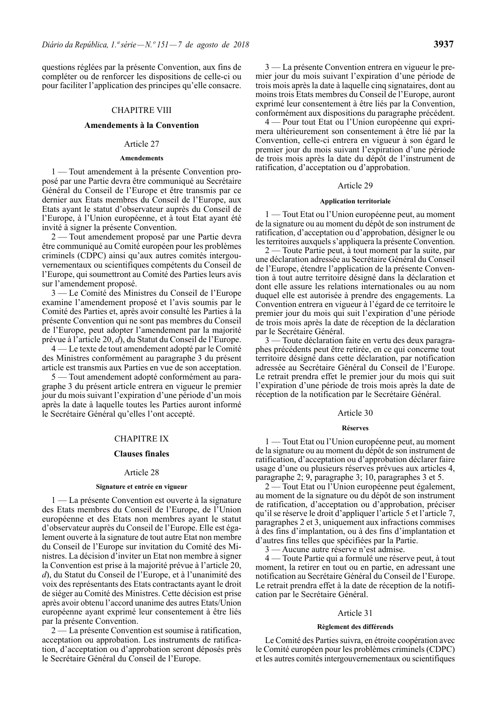questions réglées par la présente Convention, aux fins de compléter ou de renforcer les dispositions de celle -ci ou pour faciliter l'application des principes qu'elle consacre.

# CHAPITRE VIII

#### **Amendements à la Convention**

### Article 27

#### **Amendements**

1 — Tout amendement à la présente Convention proposé par une Partie devra être communiqué au Secrétaire Général du Conseil de l'Europe et être transmis par ce dernier aux Etats membres du Conseil de l'Europe, aux Etats ayant le statut d'observateur auprès du Conseil de l'Europe, à l'Union européenne, et à tout Etat ayant été invité à signer la présente Convention.

2 — Tout amendement proposé par une Partie devra être communiqué au Comité européen pour les problèmes criminels (CDPC) ainsi qu'aux autres comités intergouvernementaux ou scientifiques compétents du Conseil de l'Europe, qui soumettront au Comité des Parties leurs avis sur l'amendement proposé.

3 — Le Comité des Ministres du Conseil de l'Europe examine l'amendement proposé et l'avis soumis par le Comité des Parties et, après avoir consulté les Parties à la présente Convention qui ne sont pas membres du Conseil de l'Europe, peut adopter l'amendement par la majorité prévue à l'article 20, *d*), du Statut du Conseil de l'Europe.

4 — Le texte de tout amendement adopté par le Comité des Ministres conformément au paragraphe 3 du présent article est transmis aux Parties en vue de son acceptation.

5 — Tout amendement adopté conformément au paragraphe 3 du présent article entrera en vigueur le premier jour du mois suivant l'expiration d'une période d'un mois après la date à laquelle toutes les Parties auront informé le Secrétaire Général qu'elles l'ont accepté.

## CHAPITRE IX

### **Clauses finales**

### Article 28

### **Signature et entrée en vigueur**

1 — La présente Convention est ouverte à la signature des Etats membres du Conseil de l'Europe, de l'Union européenne et des Etats non membres ayant le statut d'observateur auprès du Conseil de l'Europe. Elle est également ouverte à la signature de tout autre Etat non membre du Conseil de l'Europe sur invitation du Comité des Ministres. La décision d'inviter un Etat non membre à signer la Convention est prise à la majorité prévue à l'article 20, *d*), du Statut du Conseil de l'Europe, et à l'unanimité des voix des représentants des Etats contractants ayant le droit de siéger au Comité des Ministres. Cette décision est prise après avoir obtenu l'accord unanime des autres Etats/Union européenne ayant exprimé leur consentement à être liés par la présente Convention.

2 — La présente Convention est soumise à ratification, acceptation ou approbation. Les instruments de ratification, d'acceptation ou d'approbation seront déposés près le Secrétaire Général du Conseil de l'Europe.

3 — La présente Convention entrera en vigueur le premier jour du mois suivant l'expiration d'une période de trois mois après la date à laquelle cinq signataires, dont au moins trois Etats membres du Conseil de l'Europe, auront exprimé leur consentement à être liés par la Convention, conformément aux dispositions du paragraphe précédent.

4 — Pour tout Etat ou l'Union européenne qui exprimera ultérieurement son consentement à être lié par la Convention, celle-ci entrera en vigueur à son égard le premier jour du mois suivant l'expiration d'une période de trois mois après la date du dépôt de l'instrument de ratification, d'acceptation ou d'approbation.

## Article 29

### **Application territoriale**

1 — Tout Etat ou l'Union européenne peut, au moment de la signature ou au moment du dépôt de son instrument de ratification, d'acceptation ou d'approbation, désigner le ou les territoires auxquels s'appliquera la présente Convention.

2 — Toute Partie peut, à tout moment par la suite, par une déclaration adressée au Secrétaire Général du Conseil de l'Europe, étendre l'application de la présente Convention à tout autre territoire désigné dans la déclaration et dont elle assure les relations internationales ou au nom duquel elle est autorisée à prendre des engagements. La Convention entrera en vigueur à l'égard de ce territoire le premier jour du mois qui suit l'expiration d'une période de trois mois après la date de réception de la déclaration par le Secrétaire Général.

3 — Toute déclaration faite en vertu des deux paragraphes précédents peut être retirée, en ce qui concerne tout territoire désigné dans cette déclaration, par notification adressée au Secrétaire Général du Conseil de l'Europe. Le retrait prendra effet le premier jour du mois qui suit l'expiration d'une période de trois mois après la date de réception de la notification par le Secrétaire Général.

### Article 30

### **Réserves**

1 — Tout Etat ou l'Union européenne peut, au moment de la signature ou au moment du dépôt de son instrument de ratification, d'acceptation ou d'approbation déclarer faire usage d'une ou plusieurs réserves prévues aux articles 4, paragraphe 2; 9, paragraphe 3; 10, paragraphes 3 et 5.

2 — Tout Etat ou l'Union européenne peut également, au moment de la signature ou du dépôt de son instrument de ratification, d'acceptation ou d'approbation, préciser qu'il se réserve le droit d'appliquer l'article 5 et l'article 7, paragraphes 2 et 3, uniquement aux infractions commises à des fins d'implantation, ou à des fins d'implantation et d'autres fins telles que spécifiées par la Partie.

3 — Aucune autre réserve n'est admise.

4 — Toute Partie qui a formulé une réserve peut, à tout moment, la retirer en tout ou en partie, en adressant une notification au Secrétaire Général du Conseil de l'Europe. Le retrait prendra effet à la date de réception de la notification par le Secrétaire Général.

### Article 31

### **Règlement des différends**

Le Comité des Parties suivra, en étroite coopération avec le Comité européen pour les problèmes criminels (CDPC) et les autres comités intergouvernementaux ou scientifiques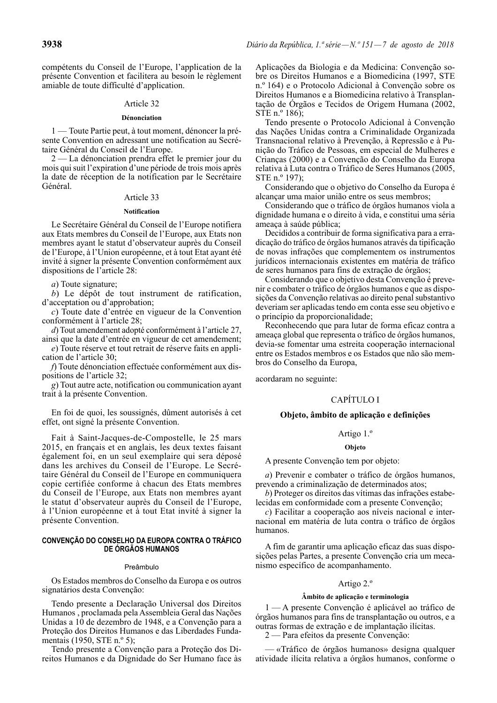compétents du Conseil de l'Europe, l'application de la présente Convention et facilitera au besoin le règlement amiable de toute difficulté d'application.

# Article 32

# **Dénonciation**

1 — Toute Partie peut, à tout moment, dénoncer la présente Convention en adressant une notification au Secrétaire Général du Conseil de l'Europe.

2 — La dénonciation prendra effet le premier jour du mois qui suit l'expiration d'une période de trois mois après la date de réception de la notification par le Secrétaire Général.

# Article 33

### **Notification**

Le Secrétaire Général du Conseil de l'Europe notifiera aux Etats membres du Conseil de l'Europe, aux Etats non membres ayant le statut d'observateur auprès du Conseil de l'Europe, à l'Union européenne, et à tout Etat ayant été invité à signer la présente Convention conformément aux dispositions de l'article 28:

*a*) Toute signature;

*b*) Le dépôt de tout instrument de ratification, d'acceptation ou d'approbation;

*c*) Toute date d'entrée en vigueur de la Convention conformément à l'article 28;

*d*) Tout amendement adopté conformément à l'article 27, ainsi que la date d'entrée en vigueur de cet amendement;

*e*) Toute réserve et tout retrait de réserve faits en application de l'article 30;

*f*) Toute dénonciation effectuée conformément aux dispositions de l'article 32;

*g*) Tout autre acte, notification ou communication ayant trait à la présente Convention.

En foi de quoi, les soussignés, dûment autorisés à cet effet, ont signé la présente Convention.

Fait à Saint -Jacques -de -Compostelle, le 25 mars 2015, en français et en anglais, les deux textes faisant également foi, en un seul exemplaire qui sera déposé dans les archives du Conseil de l'Europe. Le Secrétaire Général du Conseil de l'Europe en communiquera copie certifiée conforme à chacun des Etats membres du Conseil de l'Europe, aux Etats non membres ayant le statut d'observateur auprès du Conseil de l'Europe, à l'Union européenne et à tout Etat invité à signer la présente Convention.

## **CONVENÇÃO DO CONSELHO DA EUROPA CONTRA O TRÁFICO DE ÓRGÃOS HUMANOS**

#### Preâmbulo

Os Estados membros do Conselho da Europa e os outros signatários desta Convenção:

Tendo presente a Declaração Universal dos Direitos Humanos , proclamada pela Assembleia Geral das Nações Unidas a 10 de dezembro de 1948, e a Convenção para a Proteção dos Direitos Humanos e das Liberdades Fundamentais (1950, STE n.º 5);

Tendo presente a Convenção para a Proteção dos Direitos Humanos e da Dignidade do Ser Humano face às Aplicações da Biologia e da Medicina: Convenção sobre os Direitos Humanos e a Biomedicina (1997, STE n.º 164) e o Protocolo Adicional à Convenção sobre os Direitos Humanos e a Biomedicina relativo à Transplantação de Órgãos e Tecidos de Origem Humana (2002, STE n.º 186);

Tendo presente o Protocolo Adicional à Convenção das Nações Unidas contra a Criminalidade Organizada Transnacional relativo à Prevenção, à Repressão e à Punição do Tráfico de Pessoas, em especial de Mulheres e Crianças (2000) e a Convenção do Conselho da Europa relativa à Luta contra o Tráfico de Seres Humanos (2005, STE n.º 197);

Considerando que o objetivo do Conselho da Europa é alcançar uma maior união entre os seus membros;

Considerando que o tráfico de órgãos humanos viola a dignidade humana e o direito à vida, e constitui uma séria ameaça à saúde pública;

Decididos a contribuir de forma significativa para a erradicação do tráfico de órgãos humanos através da tipificação de novas infrações que complementem os instrumentos jurídicos internacionais existentes em matéria de tráfico de seres humanos para fins de extração de órgãos;

Considerando que o objetivo desta Convenção é prevenir e combater o tráfico de órgãos humanos e que as disposições da Convenção relativas ao direito penal substantivo deveriam ser aplicadas tendo em conta esse seu objetivo e o princípio da proporcionalidade;

Reconhecendo que para lutar de forma eficaz contra a ameaça global que representa o tráfico de órgãos humanos, devia -se fomentar uma estreita cooperação internacional entre os Estados membros e os Estados que não são membros do Conselho da Europa,

acordaram no seguinte:

# CAPÍTULO I

# **Objeto, âmbito de aplicação e definições**

# Artigo 1.º

# **Objeto**

A presente Convenção tem por objeto:

*a*) Prevenir e combater o tráfico de órgãos humanos, prevendo a criminalização de determinados atos;

*b*) Proteger os direitos das vítimas das infrações estabelecidas em conformidade com a presente Convenção;

*c*) Facilitar a cooperação aos níveis nacional e internacional em matéria de luta contra o tráfico de órgãos humanos.

A fim de garantir uma aplicação eficaz das suas disposições pelas Partes, a presente Convenção cria um mecanismo específico de acompanhamento.

# Artigo 2.º

### **Âmbito de aplicação e terminologia**

1 — A presente Convenção é aplicável ao tráfico de órgãos humanos para fins de transplantação ou outros, e a outras formas de extração e de implantação ilícitas.

2 — Para efeitos da presente Convenção:

— «Tráfico de órgãos humanos» designa qualquer atividade ilícita relativa a órgãos humanos, conforme o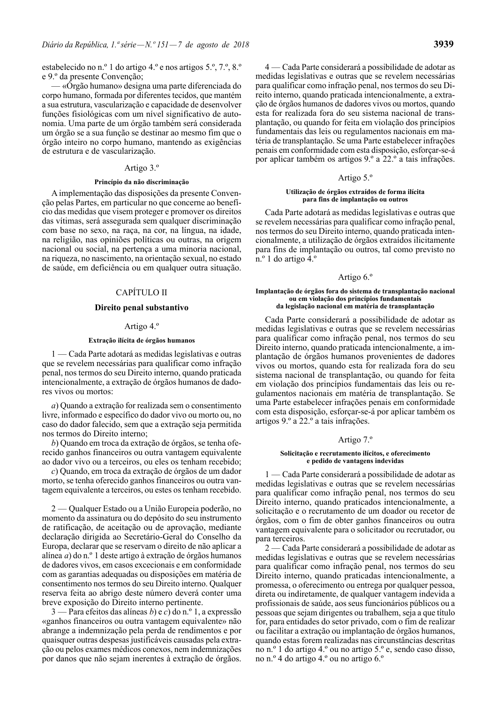estabelecido no n.º 1 do artigo 4.º e nos artigos 5.º, 7.º, 8.º e 9.º da presente Convenção;

— «Órgão humano» designa uma parte diferenciada do corpo humano, formada por diferentes tecidos, que mantém a sua estrutura, vascularização e capacidade de desenvolver funções fisiológicas com um nível significativo de autonomia. Uma parte de um órgão também será considerada um órgão se a sua função se destinar ao mesmo fim que o órgão inteiro no corpo humano, mantendo as exigências de estrutura e de vascularização.

# Artigo 3.º

## **Princípio da não discriminação**

A implementação das disposições da presente Convenção pelas Partes, em particular no que concerne ao benefício das medidas que visem proteger e promover os direitos das vítimas, será assegurada sem qualquer discriminação com base no sexo, na raça, na cor, na língua, na idade, na religião, nas opiniões políticas ou outras, na origem nacional ou social, na pertença a uma minoria nacional, na riqueza, no nascimento, na orientação sexual, no estado de saúde, em deficiência ou em qualquer outra situação.

# CAPÍTULO II

# **Direito penal substantivo**

# Artigo 4.º

### **Extração ilícita de órgãos humanos**

1 — Cada Parte adotará as medidas legislativas e outras que se revelem necessárias para qualificar como infração penal, nos termos do seu Direito interno, quando praticada intencionalmente, a extração de órgãos humanos de dadores vivos ou mortos:

*a*) Quando a extração for realizada sem o consentimento livre, informado e específico do dador vivo ou morto ou, no caso do dador falecido, sem que a extração seja permitida nos termos do Direito interno;

*b*) Quando em troca da extração de órgãos, se tenha oferecido ganhos financeiros ou outra vantagem equivalente ao dador vivo ou a terceiros, ou eles os tenham recebido;

*c*) Quando, em troca da extração de órgãos de um dador morto, se tenha oferecido ganhos financeiros ou outra vantagem equivalente a terceiros, ou estes os tenham recebido.

2 — Qualquer Estado ou a União Europeia poderão, no momento da assinatura ou do depósito do seu instrumento de ratificação, de aceitação ou de aprovação, mediante declaração dirigida ao Secretário -Geral do Conselho da Europa, declarar que se reservam o direito de não aplicar a alínea *a*) do n.º 1 deste artigo à extração de órgãos humanos de dadores vivos, em casos excecionais e em conformidade com as garantias adequadas ou disposições em matéria de consentimento nos termos do seu Direito interno. Qualquer reserva feita ao abrigo deste número deverá conter uma breve exposição do Direito interno pertinente.

3 — Para efeitos das alíneas *b*) e *c*) do n.º 1, a expressão «ganhos financeiros ou outra vantagem equivalente» não abrange a indemnização pela perda de rendimentos e por quaisquer outras despesas justificáveis causadas pela extração ou pelos exames médicos conexos, nem indemnizações por danos que não sejam inerentes à extração de órgãos.

4 — Cada Parte considerará a possibilidade de adotar as medidas legislativas e outras que se revelem necessárias para qualificar como infração penal, nos termos do seu Direito interno, quando praticada intencionalmente, a extração de órgãos humanos de dadores vivos ou mortos, quando esta for realizada fora do seu sistema nacional de transplantação, ou quando for feita em violação dos princípios fundamentais das leis ou regulamentos nacionais em matéria de transplantação. Se uma Parte estabelecer infrações penais em conformidade com esta disposição, esforçar -se -á por aplicar também os artigos 9.º a 22.º a tais infrações.

# Artigo 5.º

#### **Utilização de órgãos extraídos de forma ilícita para fins de implantação ou outros**

Cada Parte adotará as medidas legislativas e outras que se revelem necessárias para qualificar como infração penal, nos termos do seu Direito interno, quando praticada intencionalmente, a utilização de órgãos extraídos ilicitamente para fins de implantação ou outros, tal como previsto no n.º 1 do artigo 4.º

# Artigo 6.º

### **Implantação de órgãos fora do sistema de transplantação nacional ou em violação dos princípios fundamentais da legislação nacional em matéria de transplantação**

Cada Parte considerará a possibilidade de adotar as medidas legislativas e outras que se revelem necessárias para qualificar como infração penal, nos termos do seu Direito interno, quando praticada intencionalmente, a implantação de órgãos humanos provenientes de dadores vivos ou mortos, quando esta for realizada fora do seu sistema nacional de transplantação, ou quando for feita em violação dos princípios fundamentais das leis ou regulamentos nacionais em matéria de transplantação. Se uma Parte estabelecer infrações penais em conformidade com esta disposição, esforçar -se -á por aplicar também os artigos 9.º a 22.º a tais infrações.

# Artigo 7.º

### **Solicitação e recrutamento ilícitos, e oferecimento e pedido de vantagens indevidas**

1 — Cada Parte considerará a possibilidade de adotar as medidas legislativas e outras que se revelem necessárias para qualificar como infração penal, nos termos do seu Direito interno, quando praticados intencionalmente, a solicitação e o recrutamento de um doador ou recetor de órgãos, com o fim de obter ganhos financeiros ou outra vantagem equivalente para o solicitador ou recrutador, ou para terceiros.

2 — Cada Parte considerará a possibilidade de adotar as medidas legislativas e outras que se revelem necessárias para qualificar como infração penal, nos termos do seu Direito interno, quando praticadas intencionalmente, a promessa, o oferecimento ou entrega por qualquer pessoa, direta ou indiretamente, de qualquer vantagem indevida a profissionais de saúde, aos seus funcionários públicos ou a pessoas que sejam dirigentes ou trabalhem, seja a que título for, para entidades do setor privado, com o fim de realizar ou facilitar a extração ou implantação de órgãos humanos, quando estas forem realizadas nas circunstâncias descritas no n.º 1 do artigo 4.º ou no artigo 5.º e, sendo caso disso, no n.º 4 do artigo 4.º ou no artigo 6.º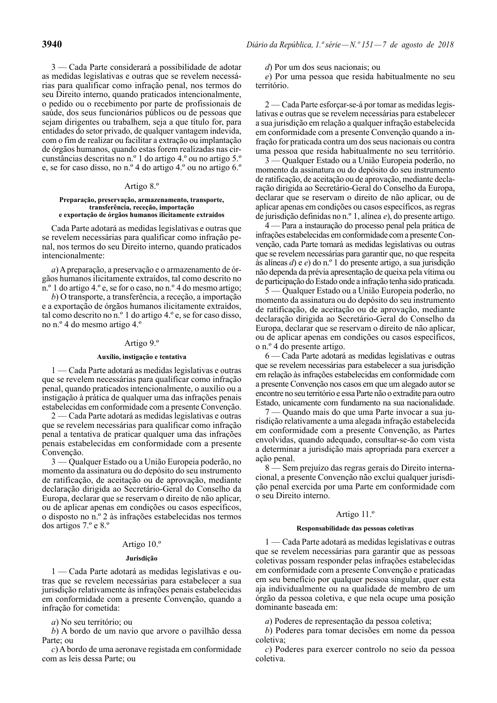3 — Cada Parte considerará a possibilidade de adotar as medidas legislativas e outras que se revelem necessárias para qualificar como infração penal, nos termos do seu Direito interno, quando praticados intencionalmente, o pedido ou o recebimento por parte de profissionais de saúde, dos seus funcionários públicos ou de pessoas que sejam dirigentes ou trabalhem, seja a que título for, para entidades do setor privado, de qualquer vantagem indevida, com o fim de realizar ou facilitar a extração ou implantação de órgãos humanos, quando estas forem realizadas nas circunstâncias descritas no n.º 1 do artigo 4.º ou no artigo 5.º e, se for caso disso, no n.º 4 do artigo 4.º ou no artigo 6.º

# Artigo 8.º

### **Preparação, preservação, armazenamento, transporte, transferência, receção, importação e exportação de órgãos humanos ilicitamente extraídos**

Cada Parte adotará as medidas legislativas e outras que se revelem necessárias para qualificar como infração penal, nos termos do seu Direito interno, quando praticados intencionalmente:

*a*) A preparação, a preservação e o armazenamento de órgãos humanos ilicitamente extraídos, tal como descrito no n.º 1 do artigo 4.º e, se for o caso, no n.º 4 do mesmo artigo;

*b*) O transporte, a transferência, a receção, a importação e a exportação de órgãos humanos ilicitamente extraídos, tal como descrito no n.º 1 do artigo 4.º e, se for caso disso, no n.º 4 do mesmo artigo 4.º

# Artigo 9.º

### **Auxílio, instigação e tentativa**

1 — Cada Parte adotará as medidas legislativas e outras que se revelem necessárias para qualificar como infração penal, quando praticados intencionalmente, o auxílio ou a instigação à prática de qualquer uma das infrações penais estabelecidas em conformidade com a presente Convenção.

2 — Cada Parte adotará as medidas legislativas e outras que se revelem necessárias para qualificar como infração penal a tentativa de praticar qualquer uma das infrações penais estabelecidas em conformidade com a presente Convenção.

3 — Qualquer Estado ou a União Europeia poderão, no momento da assinatura ou do depósito do seu instrumento de ratificação, de aceitação ou de aprovação, mediante declaração dirigida ao Secretário -Geral do Conselho da Europa, declarar que se reservam o direito de não aplicar, ou de aplicar apenas em condições ou casos específicos, o disposto no n.º 2 às infrações estabelecidas nos termos dos artigos 7.º e 8.º

# Artigo 10.º

### **Jurisdição**

1 — Cada Parte adotará as medidas legislativas e outras que se revelem necessárias para estabelecer a sua jurisdição relativamente às infrações penais estabelecidas em conformidade com a presente Convenção, quando a infração for cometida:

*a*) No seu território; ou

*b*) A bordo de um navio que arvore o pavilhão dessa Parte; ou

*c*) A bordo de uma aeronave registada em conformidade com as leis dessa Parte; ou

*d*) Por um dos seus nacionais; ou

*e*) Por uma pessoa que resida habitualmente no seu território.

2 — Cada Parte esforçar -se -á por tomar as medidas legislativas e outras que se revelem necessárias para estabelecer a sua jurisdição em relação a qualquer infração estabelecida em conformidade com a presente Convenção quando a infração for praticada contra um dos seus nacionais ou contra uma pessoa que resida habitualmente no seu território.

3 — Qualquer Estado ou a União Europeia poderão, no momento da assinatura ou do depósito do seu instrumento de ratificação, de aceitação ou de aprovação, mediante declaração dirigida ao Secretário -Geral do Conselho da Europa, declarar que se reservam o direito de não aplicar, ou de aplicar apenas em condições ou casos específicos, as regras de jurisdição definidas no n.º 1, alínea *e*), do presente artigo.

4 — Para a instauração do processo penal pela prática de infrações estabelecidas em conformidade com a presente Convenção, cada Parte tomará as medidas legislativas ou outras que se revelem necessárias para garantir que, no que respeita às alíneas *d*) e *e*) do n.º 1 do presente artigo, a sua jurisdição não dependa da prévia apresentação de queixa pela vítima ou de participação do Estado onde a infração tenha sido praticada.

5 — Qualquer Estado ou a União Europeia poderão, no momento da assinatura ou do depósito do seu instrumento de ratificação, de aceitação ou de aprovação, mediante declaração dirigida ao Secretário -Geral do Conselho da Europa, declarar que se reservam o direito de não aplicar, ou de aplicar apenas em condições ou casos específicos, o n.º 4 do presente artigo.

6 — Cada Parte adotará as medidas legislativas e outras que se revelem necessárias para estabelecer a sua jurisdição em relação às infrações estabelecidas em conformidade com a presente Convenção nos casos em que um alegado autor se encontre no seu território e essa Parte não o extradite para outro Estado, unicamente com fundamento na sua nacionalidade.

7 — Quando mais do que uma Parte invocar a sua jurisdição relativamente a uma alegada infração estabelecida em conformidade com a presente Convenção, as Partes envolvidas, quando adequado, consultar -se -ão com vista a determinar a jurisdição mais apropriada para exercer a ação penal.

8 — Sem prejuízo das regras gerais do Direito internacional, a presente Convenção não exclui qualquer jurisdição penal exercida por uma Parte em conformidade com o seu Direito interno.

# Artigo 11.º

### **Responsabilidade das pessoas coletivas**

1 — Cada Parte adotará as medidas legislativas e outras que se revelem necessárias para garantir que as pessoas coletivas possam responder pelas infrações estabelecidas em conformidade com a presente Convenção e praticadas em seu benefício por qualquer pessoa singular, quer esta aja individualmente ou na qualidade de membro de um órgão da pessoa coletiva, e que nela ocupe uma posição dominante baseada em:

*a*) Poderes de representação da pessoa coletiva;

*b*) Poderes para tomar decisões em nome da pessoa coletiva;

*c*) Poderes para exercer controlo no seio da pessoa coletiva.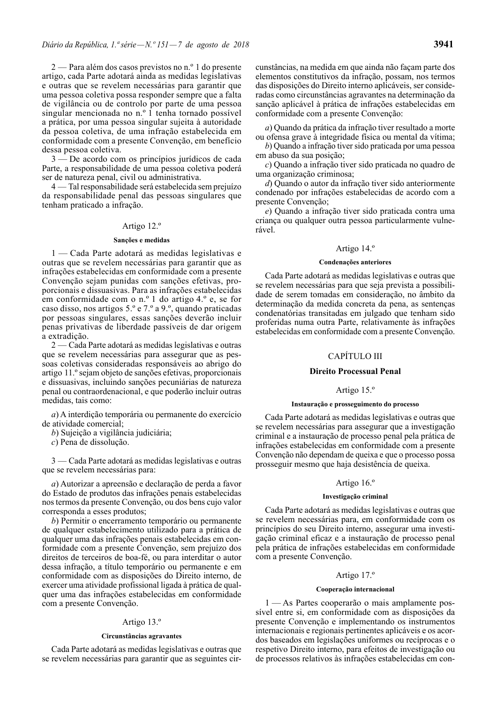2 — Para além dos casos previstos no n.º 1 do presente artigo, cada Parte adotará ainda as medidas legislativas e outras que se revelem necessárias para garantir que uma pessoa coletiva possa responder sempre que a falta de vigilância ou de controlo por parte de uma pessoa singular mencionada no n.º 1 tenha tornado possível a prática, por uma pessoa singular sujeita à autoridade da pessoa coletiva, de uma infração estabelecida em conformidade com a presente Convenção, em benefício dessa pessoa coletiva.

3 — De acordo com os princípios jurídicos de cada Parte, a responsabilidade de uma pessoa coletiva poderá ser de natureza penal, civil ou administrativa.

4 — Tal responsabilidade será estabelecida sem prejuízo da responsabilidade penal das pessoas singulares que tenham praticado a infração.

## Artigo 12.º

### **Sanções e medidas**

1 — Cada Parte adotará as medidas legislativas e outras que se revelem necessárias para garantir que as infrações estabelecidas em conformidade com a presente Convenção sejam punidas com sanções efetivas, proporcionais e dissuasivas. Para as infrações estabelecidas em conformidade com o n.º 1 do artigo 4.º e, se for caso disso, nos artigos 5.º e 7.º a 9.º, quando praticadas por pessoas singulares, essas sanções deverão incluir penas privativas de liberdade passíveis de dar origem a extradição.

2 — Cada Parte adotará as medidas legislativas e outras que se revelem necessárias para assegurar que as pessoas coletivas consideradas responsáveis ao abrigo do artigo 11.º sejam objeto de sanções efetivas, proporcionais e dissuasivas, incluindo sanções pecuniárias de natureza penal ou contraordenacional, e que poderão incluir outras medidas, tais como:

*a*) A interdição temporária ou permanente do exercício de atividade comercial;

*b*) Sujeição a vigilância judiciária;

*c*) Pena de dissolução.

3 — Cada Parte adotará as medidas legislativas e outras que se revelem necessárias para:

*a*) Autorizar a apreensão e declaração de perda a favor do Estado de produtos das infrações penais estabelecidas nos termos da presente Convenção, ou dos bens cujo valor corresponda a esses produtos;

*b*) Permitir o encerramento temporário ou permanente de qualquer estabelecimento utilizado para a prática de qualquer uma das infrações penais estabelecidas em conformidade com a presente Convenção, sem prejuízo dos direitos de terceiros de boa -fé, ou para interditar o autor dessa infração, a título temporário ou permanente e em conformidade com as disposições do Direito interno, de exercer uma atividade profissional ligada à prática de qualquer uma das infrações estabelecidas em conformidade com a presente Convenção.

# Artigo 13.º

### **Circunstâncias agravantes**

Cada Parte adotará as medidas legislativas e outras que se revelem necessárias para garantir que as seguintes circunstâncias, na medida em que ainda não façam parte dos elementos constitutivos da infração, possam, nos termos das disposições do Direito interno aplicáveis, ser consideradas como circunstâncias agravantes na determinação da sanção aplicável à prática de infrações estabelecidas em conformidade com a presente Convenção:

*a*) Quando da prática da infração tiver resultado a morte ou ofensa grave à integridade física ou mental da vítima;

*b*) Quando a infração tiver sido praticada por uma pessoa em abuso da sua posição;

*c*) Quando a infração tiver sido praticada no quadro de uma organização criminosa;

*d*) Quando o autor da infração tiver sido anteriormente condenado por infrações estabelecidas de acordo com a presente Convenção;

*e*) Quando a infração tiver sido praticada contra uma criança ou qualquer outra pessoa particularmente vulnerável.

### Artigo 14.º

### **Condenações anteriores**

Cada Parte adotará as medidas legislativas e outras que se revelem necessárias para que seja prevista a possibilidade de serem tomadas em consideração, no âmbito da determinação da medida concreta da pena, as sentenças condenatórias transitadas em julgado que tenham sido proferidas numa outra Parte, relativamente às infrações estabelecidas em conformidade com a presente Convenção.

# CAPÍTULO III

# **Direito Processual Penal**

# Artigo 15.º

### **Instauração e prosseguimento do processo**

Cada Parte adotará as medidas legislativas e outras que se revelem necessárias para assegurar que a investigação criminal e a instauração de processo penal pela prática de infrações estabelecidas em conformidade com a presente Convenção não dependam de queixa e que o processo possa prosseguir mesmo que haja desistência de queixa.

# Artigo 16.º

### **Investigação criminal**

Cada Parte adotará as medidas legislativas e outras que se revelem necessárias para, em conformidade com os princípios do seu Direito interno, assegurar uma investigação criminal eficaz e a instauração de processo penal pela prática de infrações estabelecidas em conformidade com a presente Convenção.

### Artigo 17.º

### **Cooperação internacional**

1 — As Partes cooperarão o mais amplamente possível entre si, em conformidade com as disposições da presente Convenção e implementando os instrumentos internacionais e regionais pertinentes aplicáveis e os acordos baseados em legislações uniformes ou recíprocas e o respetivo Direito interno, para efeitos de investigação ou de processos relativos às infrações estabelecidas em con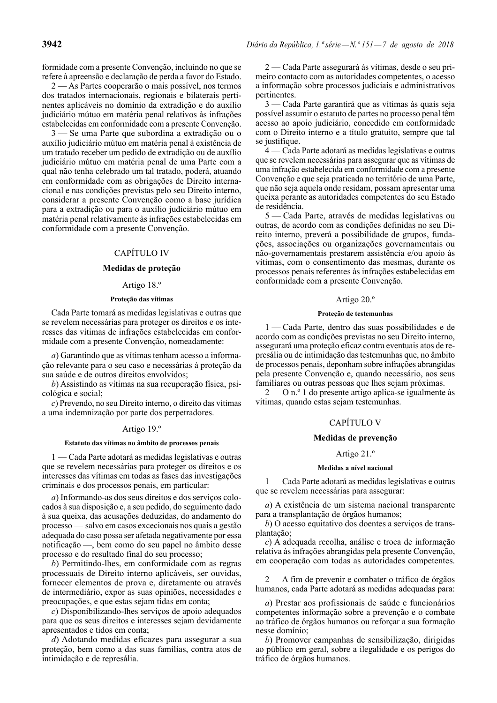formidade com a presente Convenção, incluindo no que se refere à apreensão e declaração de perda a favor do Estado.

2 — As Partes cooperarão o mais possível, nos termos dos tratados internacionais, regionais e bilaterais pertinentes aplicáveis no domínio da extradição e do auxílio judiciário mútuo em matéria penal relativos às infrações estabelecidas em conformidade com a presente Convenção.

3 — Se uma Parte que subordina a extradição ou o auxílio judiciário mútuo em matéria penal à existência de um tratado receber um pedido de extradição ou de auxílio judiciário mútuo em matéria penal de uma Parte com a qual não tenha celebrado um tal tratado, poderá, atuando em conformidade com as obrigações de Direito internacional e nas condições previstas pelo seu Direito interno, considerar a presente Convenção como a base jurídica para a extradição ou para o auxílio judiciário mútuo em matéria penal relativamente às infrações estabelecidas em conformidade com a presente Convenção.

# CAPÍTULO IV

# **Medidas de proteção**

## Artigo 18.º

### **Proteção das vítimas**

Cada Parte tomará as medidas legislativas e outras que se revelem necessárias para proteger os direitos e os interesses das vítimas de infrações estabelecidas em conformidade com a presente Convenção, nomeadamente:

*a*) Garantindo que as vítimas tenham acesso a informação relevante para o seu caso e necessárias à proteção da sua saúde e de outros direitos envolvidos;

*b*) Assistindo as vítimas na sua recuperação física, psicológica e social;

*c*) Prevendo, no seu Direito interno, o direito das vítimas a uma indemnização por parte dos perpetradores.

# Artigo 19.º

# **Estatuto das vítimas no âmbito de processos penais**

1 — Cada Parte adotará as medidas legislativas e outras que se revelem necessárias para proteger os direitos e os interesses das vítimas em todas as fases das investigações criminais e dos processos penais, em particular:

*a*) Informando -as dos seus direitos e dos serviços colocados à sua disposição e, a seu pedido, do seguimento dado à sua queixa, das acusações deduzidas, do andamento do processo — salvo em casos excecionais nos quais a gestão adequada do caso possa ser afetada negativamente por essa notificação —, bem como do seu papel no âmbito desse processo e do resultado final do seu processo;

*b*) Permitindo-lhes, em conformidade com as regras processuais de Direito interno aplicáveis, ser ouvidas, fornecer elementos de prova e, diretamente ou através de intermediário, expor as suas opiniões, necessidades e preocupações, e que estas sejam tidas em conta;

*c*) Disponibilizando -lhes serviços de apoio adequados para que os seus direitos e interesses sejam devidamente apresentados e tidos em conta;

*d*) Adotando medidas eficazes para assegurar a sua proteção, bem como a das suas famílias, contra atos de intimidação e de represália.

2 — Cada Parte assegurará às vítimas, desde o seu primeiro contacto com as autoridades competentes, o acesso a informação sobre processos judiciais e administrativos pertinentes.

3 — Cada Parte garantirá que as vítimas às quais seja possível assumir o estatuto de partes no processo penal têm acesso ao apoio judiciário, concedido em conformidade com o Direito interno e a título gratuito, sempre que tal se justifique.

4 — Cada Parte adotará as medidas legislativas e outras que se revelem necessárias para assegurar que as vítimas de uma infração estabelecida em conformidade com a presente Convenção e que seja praticada no território de uma Parte, que não seja aquela onde residam, possam apresentar uma queixa perante as autoridades competentes do seu Estado de residência.

5 — Cada Parte, através de medidas legislativas ou outras, de acordo com as condições definidas no seu Direito interno, preverá a possibilidade de grupos, fundações, associações ou organizações governamentais ou não -governamentais prestarem assistência e/ou apoio às vítimas, com o consentimento das mesmas, durante os processos penais referentes às infrações estabelecidas em conformidade com a presente Convenção.

### Artigo 20.º

### **Proteção de testemunhas**

1 — Cada Parte, dentro das suas possibilidades e de acordo com as condições previstas no seu Direito interno, assegurará uma proteção eficaz contra eventuais atos de represália ou de intimidação das testemunhas que, no âmbito de processos penais, deponham sobre infrações abrangidas pela presente Convenção e, quando necessário, aos seus familiares ou outras pessoas que lhes sejam próximas.

2 — O n.º 1 do presente artigo aplica-se igualmente às vítimas, quando estas sejam testemunhas.

# CAPÍTULO V

### **Medidas de prevenção**

# Artigo 21.º

### **Medidas a nível nacional**

1 — Cada Parte adotará as medidas legislativas e outras que se revelem necessárias para assegurar:

*a*) A existência de um sistema nacional transparente para a transplantação de órgãos humanos;

*b*) O acesso equitativo dos doentes a serviços de transplantação;

*c*) A adequada recolha, análise e troca de informação relativa às infrações abrangidas pela presente Convenção, em cooperação com todas as autoridades competentes.

2 — A fim de prevenir e combater o tráfico de órgãos humanos, cada Parte adotará as medidas adequadas para:

*a*) Prestar aos profissionais de saúde e funcionários competentes informação sobre a prevenção e o combate ao tráfico de órgãos humanos ou reforçar a sua formação nesse domínio;

*b*) Promover campanhas de sensibilização, dirigidas ao público em geral, sobre a ilegalidade e os perigos do tráfico de órgãos humanos.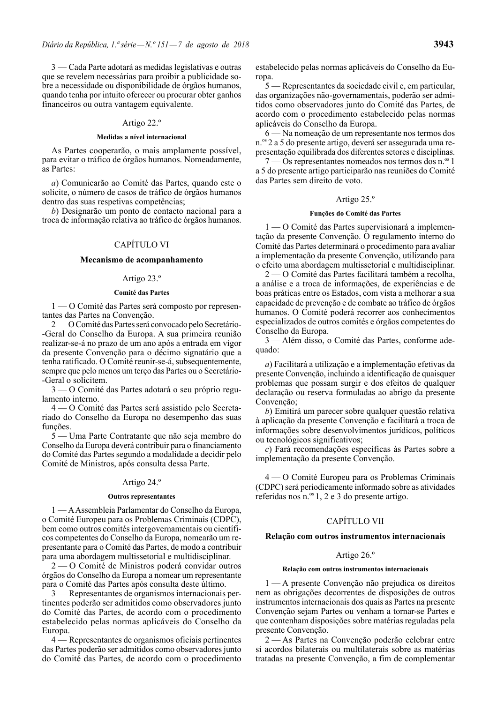3 — Cada Parte adotará as medidas legislativas e outras que se revelem necessárias para proibir a publicidade sobre a necessidade ou disponibilidade de órgãos humanos, quando tenha por intuito oferecer ou procurar obter ganhos financeiros ou outra vantagem equivalente.

# Artigo 22.º

### **Medidas a nível internacional**

As Partes cooperarão, o mais amplamente possível, para evitar o tráfico de órgãos humanos. Nomeadamente, as Partes:

*a*) Comunicarão ao Comité das Partes, quando este o solicite, o número de casos de tráfico de órgãos humanos dentro das suas respetivas competências;

*b*) Designarão um ponto de contacto nacional para a troca de informação relativa ao tráfico de órgãos humanos.

# CAPÍTULO VI

# **Mecanismo de acompanhamento**

# Artigo 23.º

## **Comité das Partes**

1 — O Comité das Partes será composto por representantes das Partes na Convenção.

2 — O Comité das Partes será convocado pelo Secretário- -Geral do Conselho da Europa. A sua primeira reunião realizar -se -á no prazo de um ano após a entrada em vigor da presente Convenção para o décimo signatário que a tenha ratificado. O Comité reunir -se -á, subsequentemente, sempre que pelo menos um terço das Partes ou o Secretário- -Geral o solicitem.

3 — O Comité das Partes adotará o seu próprio regulamento interno.

4 — O Comité das Partes será assistido pelo Secretariado do Conselho da Europa no desempenho das suas funções.

5 — Uma Parte Contratante que não seja membro do Conselho da Europa deverá contribuir para o financiamento do Comité das Partes segundo a modalidade a decidir pelo Comité de Ministros, após consulta dessa Parte.

### Artigo 24.º

### **Outros representantes**

1 — A Assembleia Parlamentar do Conselho da Europa, o Comité Europeu para os Problemas Criminais (CDPC), bem como outros comités intergovernamentais ou científicos competentes do Conselho da Europa, nomearão um representante para o Comité das Partes, de modo a contribuir para uma abordagem multissetorial e multidisciplinar.

2 — O Comité de Ministros poderá convidar outros órgãos do Conselho da Europa a nomear um representante para o Comité das Partes após consulta deste último.

3 — Representantes de organismos internacionais pertinentes poderão ser admitidos como observadores junto do Comité das Partes, de acordo com o procedimento estabelecido pelas normas aplicáveis do Conselho da Europa.

4 — Representantes de organismos oficiais pertinentes das Partes poderão ser admitidos como observadores junto do Comité das Partes, de acordo com o procedimento estabelecido pelas normas aplicáveis do Conselho da Europa.

5 — Representantes da sociedade civil e, em particular, das organizações não -governamentais, poderão ser admitidos como observadores junto do Comité das Partes, de acordo com o procedimento estabelecido pelas normas aplicáveis do Conselho da Europa.

6 — Na nomeação de um representante nos termos dos n.<sup>os</sup> 2 a 5 do presente artigo, deverá ser assegurada uma representação equilibrada dos diferentes setores e disciplinas.

 $7$  — Os representantes nomeados nos termos dos n.<sup>os</sup> 1 a 5 do presente artigo participarão nas reuniões do Comité das Partes sem direito de voto.

## Artigo 25.º

## **Funções do Comité das Partes**

1 — O Comité das Partes supervisionará a implementação da presente Convenção. O regulamento interno do Comité das Partes determinará o procedimento para avaliar a implementação da presente Convenção, utilizando para o efeito uma abordagem multissetorial e multidisciplinar.

2 — O Comité das Partes facilitará também a recolha, a análise e a troca de informações, de experiências e de boas práticas entre os Estados, com vista a melhorar a sua capacidade de prevenção e de combate ao tráfico de órgãos humanos. O Comité poderá recorrer aos conhecimentos especializados de outros comités e órgãos competentes do Conselho da Europa.

3 — Além disso, o Comité das Partes, conforme adequado:

*a*) Facilitará a utilização e a implementação efetivas da presente Convenção, incluindo a identificação de quaisquer problemas que possam surgir e dos efeitos de qualquer declaração ou reserva formuladas ao abrigo da presente Convenção;

*b*) Emitirá um parecer sobre qualquer questão relativa à aplicação da presente Convenção e facilitará a troca de informações sobre desenvolvimentos jurídicos, políticos ou tecnológicos significativos;

*c*) Fará recomendações específicas às Partes sobre a implementação da presente Convenção.

4 — O Comité Europeu para os Problemas Criminais (CDPC) será periodicamente informado sobre as atividades referidas nos n. $\degree$ 1, 2 e 3 do presente artigo.

# CAPÍTULO VII

### **Relação com outros instrumentos internacionais**

# Artigo 26.º

### **Relação com outros instrumentos internacionais**

1 — A presente Convenção não prejudica os direitos nem as obrigações decorrentes de disposições de outros instrumentos internacionais dos quais as Partes na presente Convenção sejam Partes ou venham a tornar -se Partes e que contenham disposições sobre matérias reguladas pela presente Convenção.

2 — As Partes na Convenção poderão celebrar entre si acordos bilaterais ou multilaterais sobre as matérias tratadas na presente Convenção, a fim de complementar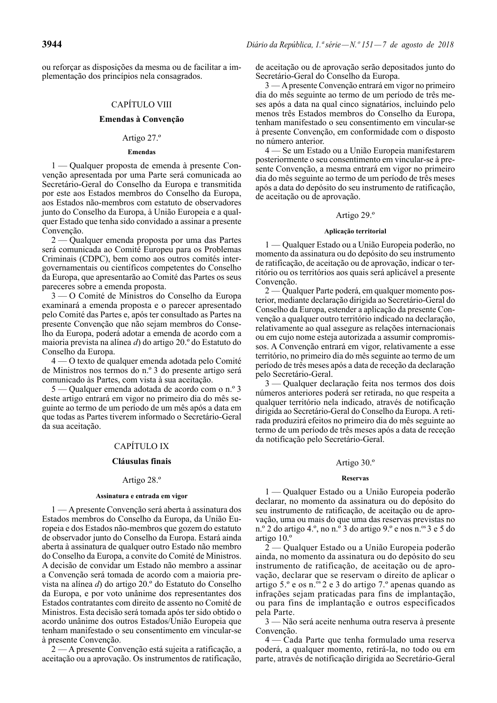ou reforçar as disposições da mesma ou de facilitar a implementação dos princípios nela consagrados.

# CAPÍTULO VIII

# **Emendas à Convenção**

# Artigo 27.º

## **Emendas**

1 — Qualquer proposta de emenda à presente Convenção apresentada por uma Parte será comunicada ao Secretário -Geral do Conselho da Europa e transmitida por este aos Estados membros do Conselho da Europa, aos Estados não -membros com estatuto de observadores junto do Conselho da Europa, à União Europeia e a qualquer Estado que tenha sido convidado a assinar a presente Convenção.

2 — Qualquer emenda proposta por uma das Partes será comunicada ao Comité Europeu para os Problemas Criminais (CDPC), bem como aos outros comités intergovernamentais ou científicos competentes do Conselho da Europa, que apresentarão ao Comité das Partes os seus pareceres sobre a emenda proposta.

3 — O Comité de Ministros do Conselho da Europa examinará a emenda proposta e o parecer apresentado pelo Comité das Partes e, após ter consultado as Partes na presente Convenção que não sejam membros do Conselho da Europa, poderá adotar a emenda de acordo com a maioria prevista na alínea *d*) do artigo 20.º do Estatuto do Conselho da Europa.

4 — O texto de qualquer emenda adotada pelo Comité de Ministros nos termos do n.º 3 do presente artigo será comunicado às Partes, com vista à sua aceitação.

5 — Qualquer emenda adotada de acordo com o n.º 3 deste artigo entrará em vigor no primeiro dia do mês seguinte ao termo de um período de um mês após a data em que todas as Partes tiverem informado o Secretário -Geral da sua aceitação.

# CAPÍTULO IX

# **Cláusulas finais**

## Artigo 28.º

### **Assinatura e entrada em vigor**

1 — A presente Convenção será aberta à assinatura dos Estados membros do Conselho da Europa, da União Europeia e dos Estados não-membros que gozem do estatuto de observador junto do Conselho da Europa. Estará ainda aberta à assinatura de qualquer outro Estado não membro do Conselho da Europa, a convite do Comité de Ministros. A decisão de convidar um Estado não membro a assinar a Convenção será tomada de acordo com a maioria prevista na alínea *d*) do artigo 20.º do Estatuto do Conselho da Europa, e por voto unânime dos representantes dos Estados contratantes com direito de assento no Comité de Ministros. Esta decisão será tomada após ter sido obtido o acordo unânime dos outros Estados/União Europeia que tenham manifestado o seu consentimento em vincular -se à presente Convenção.

2 — A presente Convenção está sujeita a ratificação, a aceitação ou a aprovação. Os instrumentos de ratificação, de aceitação ou de aprovação serão depositados junto do Secretário -Geral do Conselho da Europa.

3 — A presente Convenção entrará em vigor no primeiro dia do mês seguinte ao termo de um período de três meses após a data na qual cinco signatários, incluindo pelo menos três Estados membros do Conselho da Europa, tenham manifestado o seu consentimento em vincular -se à presente Convenção, em conformidade com o disposto no número anterior.

4 — Se um Estado ou a União Europeia manifestarem posteriormente o seu consentimento em vincular -se à presente Convenção, a mesma entrará em vigor no primeiro dia do mês seguinte ao termo de um período de três meses após a data do depósito do seu instrumento de ratificação, de aceitação ou de aprovação.

## Artigo 29.º

### **Aplicação territorial**

1 — Qualquer Estado ou a União Europeia poderão, no momento da assinatura ou do depósito do seu instrumento de ratificação, de aceitação ou de aprovação, indicar o território ou os territórios aos quais será aplicável a presente Convenção.

2 — Qualquer Parte poderá, em qualquer momento posterior, mediante declaração dirigida ao Secretário -Geral do Conselho da Europa, estender a aplicação da presente Convenção a qualquer outro território indicado na declaração, relativamente ao qual assegure as relações internacionais ou em cujo nome esteja autorizada a assumir compromissos. A Convenção entrará em vigor, relativamente a esse território, no primeiro dia do mês seguinte ao termo de um período de três meses após a data de receção da declaração pelo Secretário -Geral.

3 — Qualquer declaração feita nos termos dos dois números anteriores poderá ser retirada, no que respeita a qualquer território nela indicado, através de notificação dirigida ao Secretário -Geral do Conselho da Europa. A retirada produzirá efeitos no primeiro dia do mês seguinte ao termo de um período de três meses após a data de receção da notificação pelo Secretário -Geral.

# Artigo 30.º

### **Reservas**

1 — Qualquer Estado ou a União Europeia poderão declarar, no momento da assinatura ou do depósito do seu instrumento de ratificação, de aceitação ou de aprovação, uma ou mais do que uma das reservas previstas no n.<sup>o</sup> 2 do artigo 4.<sup>o</sup>, no n.<sup>o</sup> 3 do artigo 9.<sup>o</sup> e nos n.<sup>os</sup> 3 e 5 do artigo 10.º

2 — Qualquer Estado ou a União Europeia poderão ainda, no momento da assinatura ou do depósito do seu instrumento de ratificação, de aceitação ou de aprovação, declarar que se reservam o direito de aplicar o artigo 5. $\degree$  e os n. $\frac{\dot{\ }^8}$  2 e 3 do artigo 7. $\degree$  apenas quando as infrações sejam praticadas para fins de implantação, ou para fins de implantação e outros especificados pela Parte.

3 — Não será aceite nenhuma outra reserva à presente Convenção.

4 — Cada Parte que tenha formulado uma reserva poderá, a qualquer momento, retirá -la, no todo ou em parte, através de notificação dirigida ao Secretário -Geral